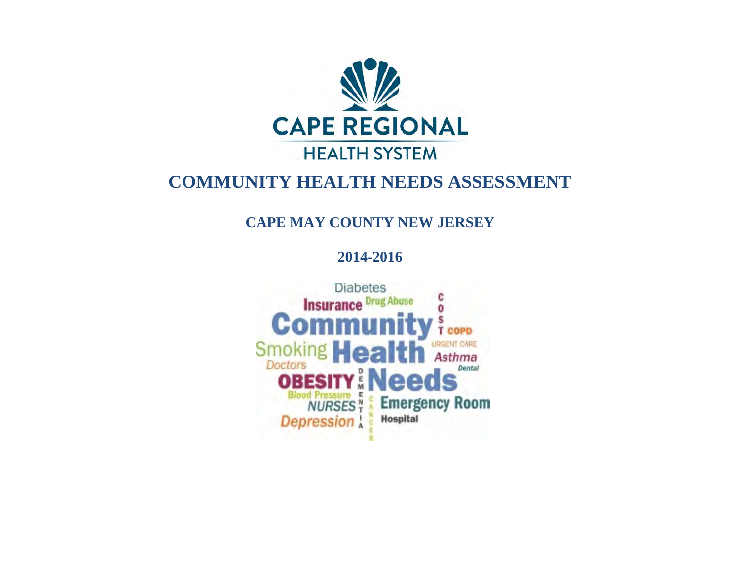

### **COMMUNITY HEALTH NEEDS ASSESSMENT**

### **CAPE MAY COUNTY NEW JERSEY**

**2014-2016**

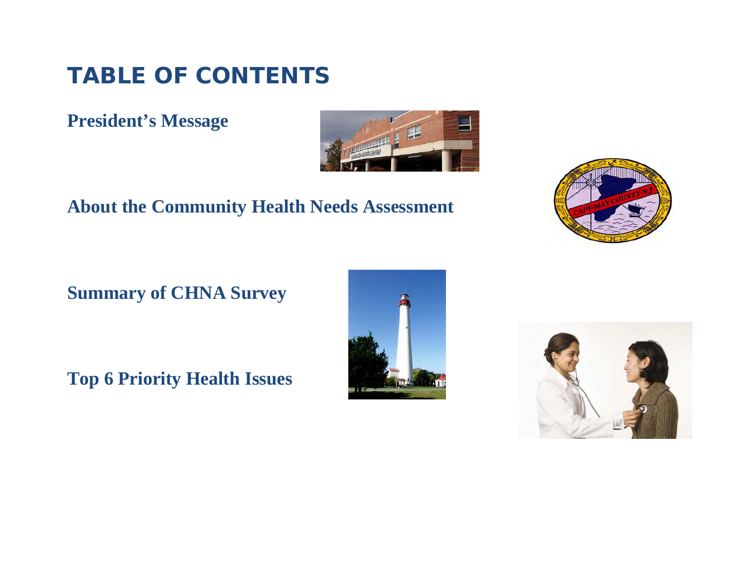# **TABLE OF CONTENTS**

### **President's Message**



### **About the Community Health Needs Assessment**



### **Summary of CHNA Survey**

**Top 6 Priority Health Issues**



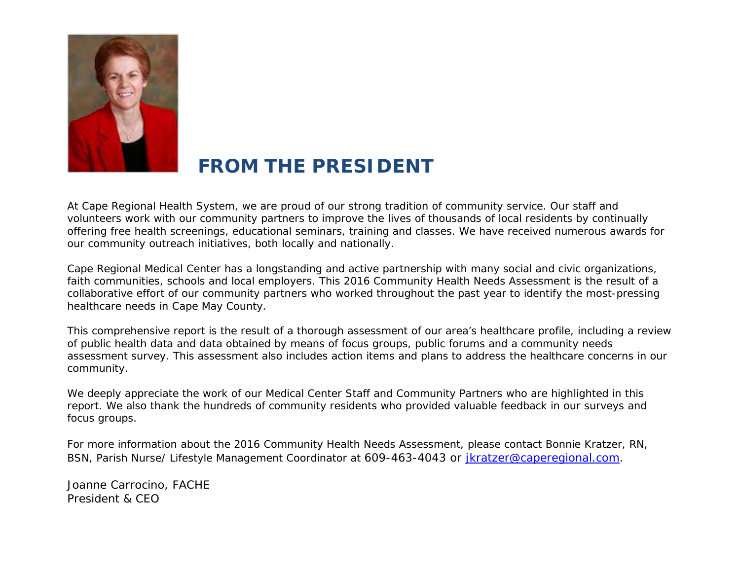

### **FROM THE PRESIDENT**

At Cape Regional Health System, we are proud of our strong tradition of community service. Our staff and volunteers work with our community partners to improve the lives of thousands of local residents by continually offering free health screenings, educational seminars, training and classes. We have received numerous awards for our community outreach initiatives, both locally and nationally.

Cape Regional Medical Center has a longstanding and active partnership with many social and civic organizations, faith communities, schools and local employers. This 2016 Community Health Needs Assessment is the result of a collaborative effort of our community partners who worked throughout the past year to identify the most-pressing healthcare needs in Cape May County.

This comprehensive report is the result of a thorough assessment of our area's healthcare profile, including a review of public health data and data obtained by means of focus groups, public forums and a community needs assessment survey. This assessment also includes action items and plans to address the healthcare concerns in our community.

We deeply appreciate the work of our Medical Center Staff and Community Partners who are highlighted in this report. We also thank the hundreds of community residents who provided valuable feedback in our surveys and focus groups.

For more information about the 2016 Community Health Needs Assessment, please contact Bonnie Kratzer, RN, BSN, Parish Nurse/ Lifestyle Management Coordinator at 609-463-4043 or [jkratzer@caperegional.com.](mailto:jkratzer@caperegional.com)

Joanne Carrocino, FACHE President & CEO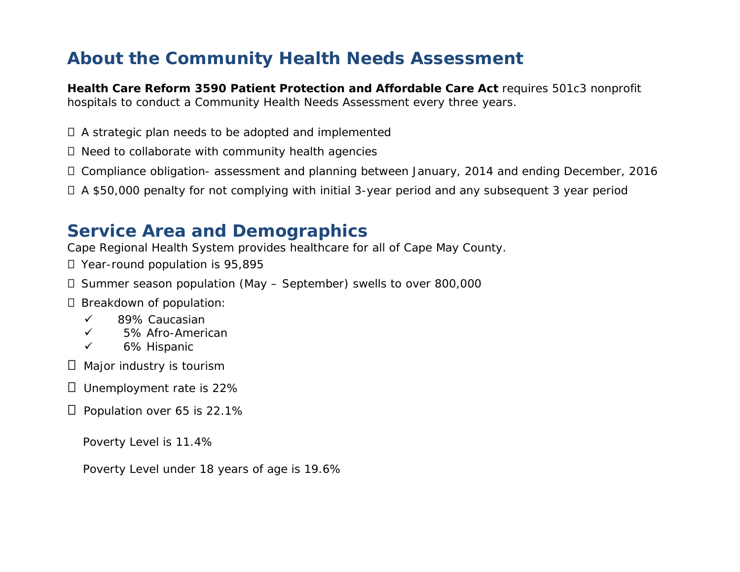### **About the Community Health Needs Assessment**

**Health Care Reform 3590 Patient Protection and Affordable Care Act** requires 501c3 nonprofit hospitals to conduct a Community Health Needs Assessment every three years.

A strategic plan needs to be adopted and implemented

 $\Box$  Need to collaborate with community health agencies

Compliance obligation- assessment and planning between January, 2014 and ending December, 2016

A \$50,000 penalty for not complying with initial 3-year period and any subsequent 3 year period

### **Service Area and Demographics**

Cape Regional Health System provides healthcare for all of Cape May County.

- □ Year-round population is 95,895
- $\Box$  Summer season population (May September) swells to over 800,000

D Breakdown of population:

- $\checkmark$  89% Caucasian
- 5% Afro-American
- $\checkmark$  6% Hispanic

 $\Box$  Major industry is tourism

 $\Box$  Unemployment rate is 22%

 $\Box$  Population over 65 is 22.1%

Poverty Level is 11.4%

Poverty Level under 18 years of age is 19.6%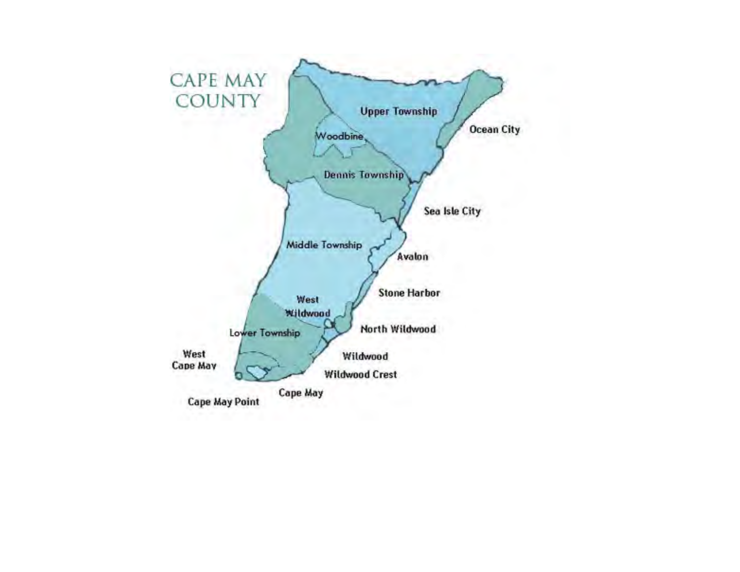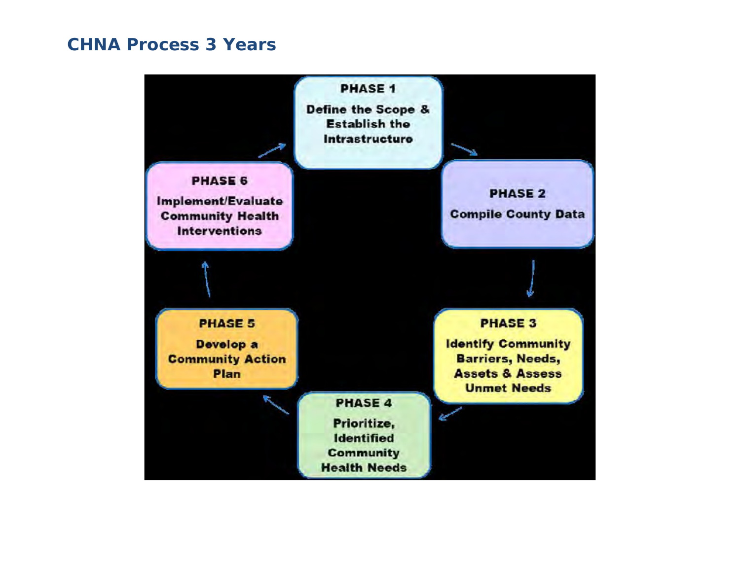### **CHNA Process 3 Years**

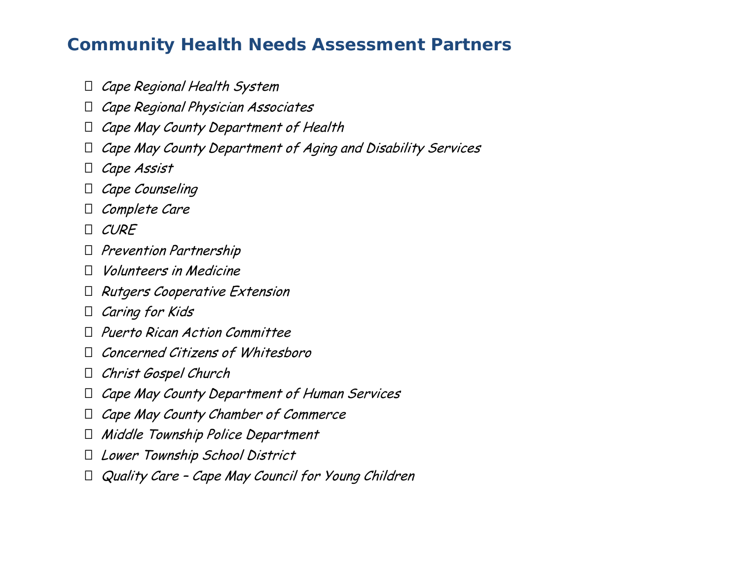### **Community Health Needs Assessment Partners**

- $\Box$  Cape Regional Health System
- $\Box$  Cape Regional Physician Associates
- $\Box$  Cape May County Department of Health
- $\Box$  Cape May County Department of Aging and Disability Services
- $\Box$  Cape Assist
- $\Box$  Cape Counseling
- $\Box$  Complete Care
- $\Box$  CURE
- $\Box$  Prevention Partnership
- $\Box$  Volunteers in Medicine
- $\Box$  Rutgers Cooperative Extension
- $\Box$  Caring for Kids
- $\Box$  Puerto Rican Action Committee
- $\Box$  Concerned Citizens of Whitesboro
- Christ Gospel Church
- $\Box$  Cape May County Department of Human Services
- $\Box$  Cape May County Chamber of Commerce
- $\Box$  Middle Township Police Department
- Lower Township School District
- $\Box$  Quality Care Cape May Council for Young Children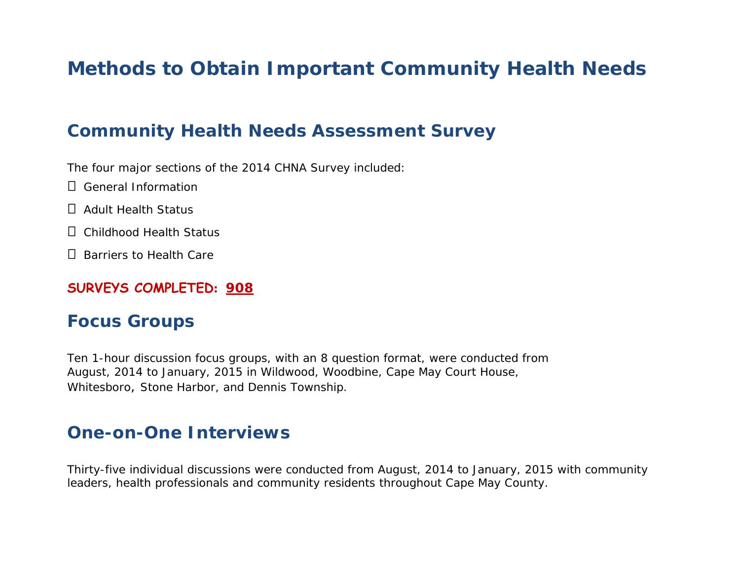### **Methods to Obtain Important Community Health Needs**

### **Community Health Needs Assessment Survey**

The four major sections of the 2014 CHNA Survey included:

- □ General Information
- □ Adult Health Status
- Childhood Health Status
- $\Box$  Barriers to Health Care

#### **SURVEYS COMPLETED: 908**

### **Focus Groups**

Ten 1-hour discussion focus groups, with an 8 question format, were conducted from August, 2014 to January, 2015 in Wildwood, Woodbine, Cape May Court House, Whitesboro, Stone Harbor, and Dennis Township.

### **One-on-One Interviews**

Thirty-five individual discussions were conducted from August, 2014 to January, 2015 with community leaders, health professionals and community residents throughout Cape May County.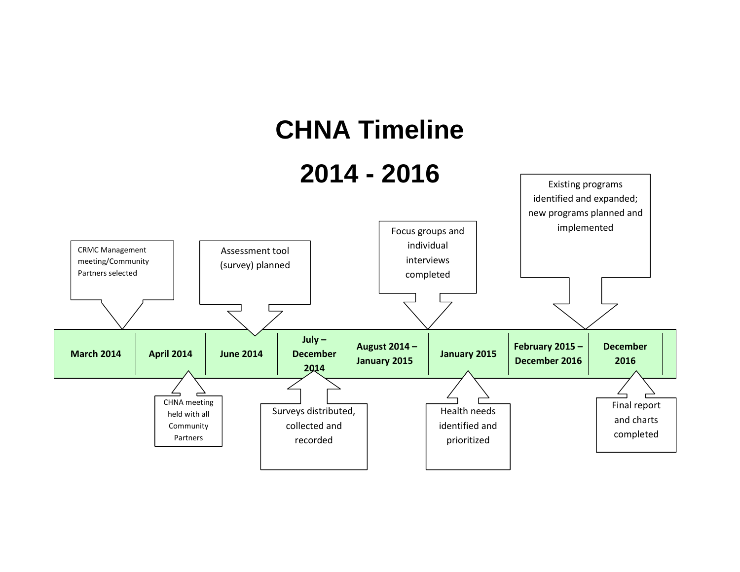# **CHNA Timeline**

# **2014 - 2016**

Existing programs

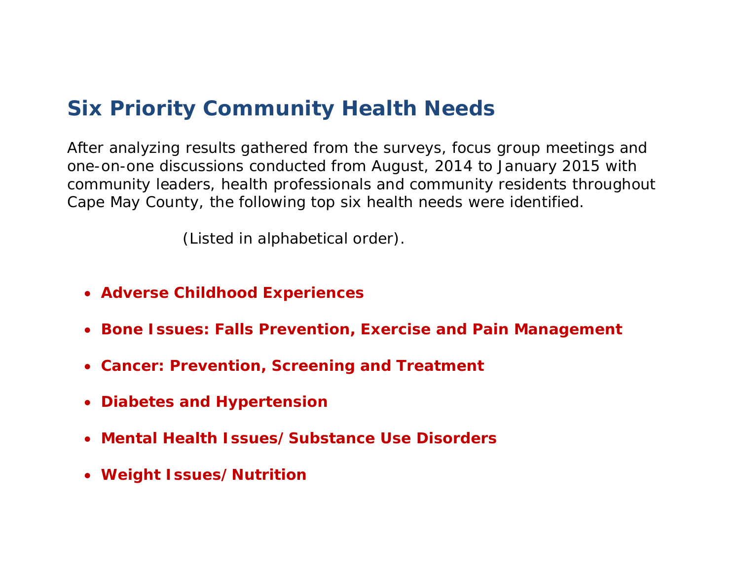### **Six Priority Community Health Needs**

After analyzing results gathered from the surveys, focus group meetings and one-on-one discussions conducted from August, 2014 to January 2015 with community leaders, health professionals and community residents throughout Cape May County, the following top six health needs were identified.

*(Listed in alphabetical order).*

- **Adverse Childhood Experiences**
- **Bone Issues: Falls Prevention, Exercise and Pain Management**
- **Cancer: Prevention, Screening and Treatment**
- **Diabetes and Hypertension**
- **Mental Health Issues/Substance Use Disorders**
- **Weight Issues/Nutrition**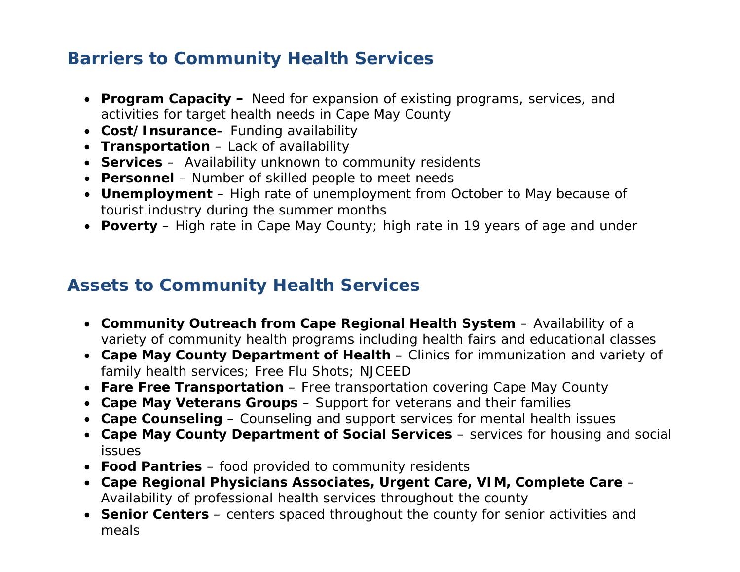### **Barriers to Community Health Services**

- **Program Capacity** Need for expansion of existing programs, services, and activities for target health needs in Cape May County
- **Cost/Insurance–** Funding availability
- **Transportation** Lack of availability
- **Services** Availability unknown to community residents
- **Personnel**  Number of skilled people to meet needs
- **Unemployment** High rate of unemployment from October to May because of tourist industry during the summer months
- **Poverty** High rate in Cape May County; high rate in 19 years of age and under

### **Assets to Community Health Services**

- **Community Outreach from Cape Regional Health System** Availability of a variety of community health programs including health fairs and educational classes
- **Cape May County Department of Health** Clinics for immunization and variety of family health services; Free Flu Shots; NJCEED
- **Fare Free Transportation** Free transportation covering Cape May County
- **Cape May Veterans Groups** Support for veterans and their families
- **Cape Counseling** Counseling and support services for mental health issues
- **Cape May County Department of Social Services** services for housing and social issues
- **Food Pantries** food provided to community residents
- **Cape Regional Physicians Associates, Urgent Care, VIM, Complete Care** Availability of professional health services throughout the county
- **Senior Centers** centers spaced throughout the county for senior activities and meals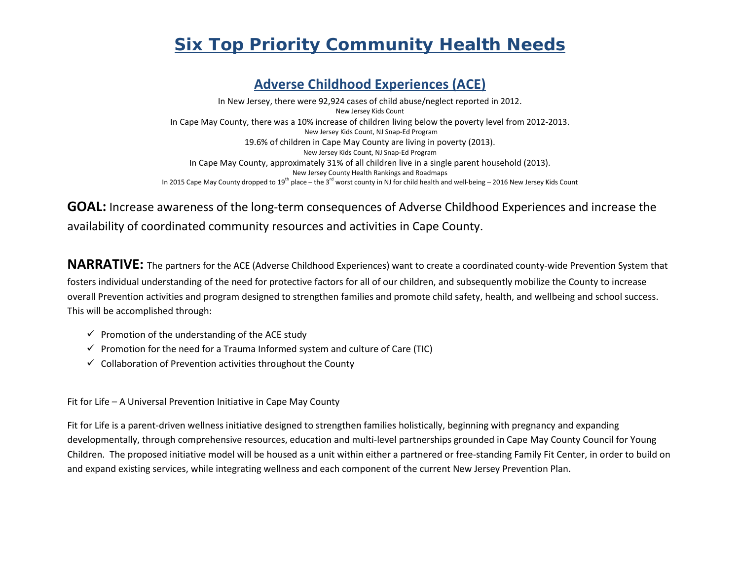### *Six Top Priority Community Health Needs*

#### **Adverse Childhood Experiences (ACE)**

In New Jersey, there were 92,924 cases of child abuse/neglect reported in 2012. New Jersey Kids Count In Cape May County, there was a 10% increase of children living below the poverty level from 2012-2013. New Jersey Kids Count, NJ Snap-Ed Program 19.6% of children in Cape May County are living in poverty (2013). New Jersey Kids Count, NJ Snap-Ed Program In Cape May County, approximately 31% of all children live in a single parent household (2013). New Jersey County Health Rankings and Roadmaps In 2015 Cape May County dropped to 19<sup>th</sup> place – the 3<sup>rd</sup> worst county in NJ for child health and well-being – 2016 New Jersey Kids Count

#### **GOAL:** Increase awareness of the long-term consequences of Adverse Childhood Experiences and increase the availability of coordinated community resources and activities in Cape County.

**NARRATIVE:** The partners for the ACE (Adverse Childhood Experiences) want to create a coordinated county-wide Prevention System that fosters individual understanding of the need for protective factors for all of our children, and subsequently mobilize the County to increase overall Prevention activities and program designed to strengthen families and promote child safety, health, and wellbeing and school success. This will be accomplished through:

- $\checkmark$  Promotion of the understanding of the ACE study
- $\checkmark$  Promotion for the need for a Trauma Informed system and culture of Care (TIC)
- $\checkmark$  Collaboration of Prevention activities throughout the County

Fit for Life – A Universal Prevention Initiative in Cape May County

Fit for Life is a parent-driven wellness initiative designed to strengthen families holistically, beginning with pregnancy and expanding developmentally, through comprehensive resources, education and multi-level partnerships grounded in Cape May County Council for Young Children. The proposed initiative model will be housed as a unit within either a partnered or free-standing Family Fit Center, in order to build on and expand existing services, while integrating wellness and each component of the current New Jersey Prevention Plan.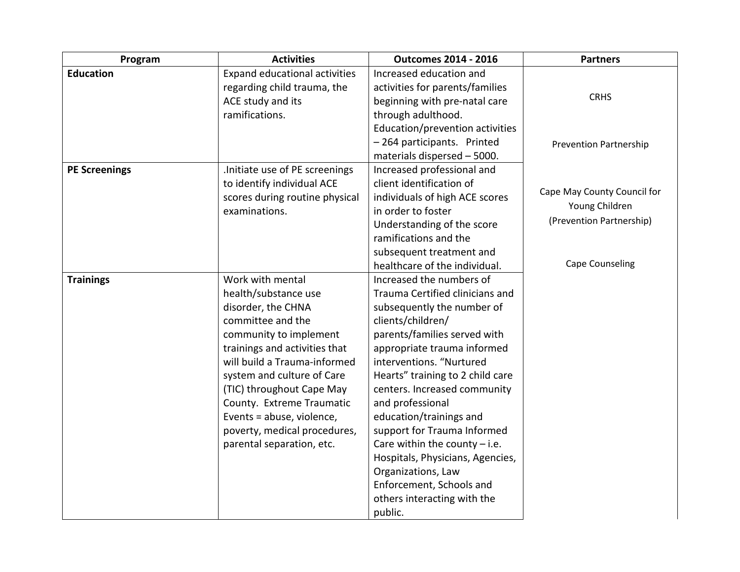| Program              | <b>Activities</b>                                                                                                                                                                                                                                                                                                                                                | <b>Outcomes 2014 - 2016</b>                                                                                                                                                                                                                                                                                                                                                                                                                                                                                                    | <b>Partners</b>                                                                                     |
|----------------------|------------------------------------------------------------------------------------------------------------------------------------------------------------------------------------------------------------------------------------------------------------------------------------------------------------------------------------------------------------------|--------------------------------------------------------------------------------------------------------------------------------------------------------------------------------------------------------------------------------------------------------------------------------------------------------------------------------------------------------------------------------------------------------------------------------------------------------------------------------------------------------------------------------|-----------------------------------------------------------------------------------------------------|
| <b>Education</b>     | Expand educational activities<br>regarding child trauma, the<br>ACE study and its<br>ramifications.                                                                                                                                                                                                                                                              | Increased education and<br>activities for parents/families<br>beginning with pre-natal care<br>through adulthood.<br>Education/prevention activities<br>-264 participants. Printed<br>materials dispersed - 5000.                                                                                                                                                                                                                                                                                                              | <b>CRHS</b><br><b>Prevention Partnership</b>                                                        |
| <b>PE Screenings</b> | .Initiate use of PE screenings<br>to identify individual ACE<br>scores during routine physical<br>examinations.                                                                                                                                                                                                                                                  | Increased professional and<br>client identification of<br>individuals of high ACE scores<br>in order to foster<br>Understanding of the score<br>ramifications and the<br>subsequent treatment and<br>healthcare of the individual.                                                                                                                                                                                                                                                                                             | Cape May County Council for<br>Young Children<br>(Prevention Partnership)<br><b>Cape Counseling</b> |
| <b>Trainings</b>     | Work with mental<br>health/substance use<br>disorder, the CHNA<br>committee and the<br>community to implement<br>trainings and activities that<br>will build a Trauma-informed<br>system and culture of Care<br>(TIC) throughout Cape May<br>County. Extreme Traumatic<br>Events = abuse, violence,<br>poverty, medical procedures,<br>parental separation, etc. | Increased the numbers of<br>Trauma Certified clinicians and<br>subsequently the number of<br>clients/children/<br>parents/families served with<br>appropriate trauma informed<br>interventions. "Nurtured<br>Hearts" training to 2 child care<br>centers. Increased community<br>and professional<br>education/trainings and<br>support for Trauma Informed<br>Care within the county $-$ i.e.<br>Hospitals, Physicians, Agencies,<br>Organizations, Law<br>Enforcement, Schools and<br>others interacting with the<br>public. |                                                                                                     |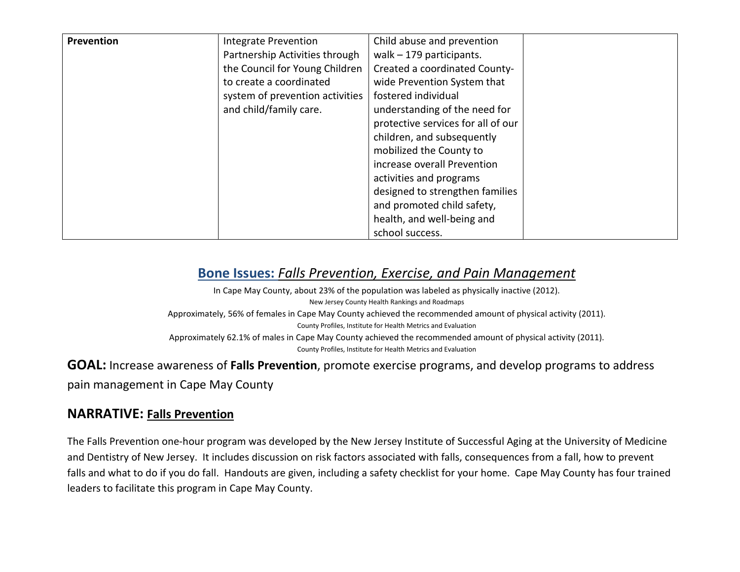| Prevention | Integrate Prevention            | Child abuse and prevention         |  |
|------------|---------------------------------|------------------------------------|--|
|            | Partnership Activities through  | walk $-179$ participants.          |  |
|            | the Council for Young Children  | Created a coordinated County-      |  |
|            | to create a coordinated         | wide Prevention System that        |  |
|            | system of prevention activities | fostered individual                |  |
|            | and child/family care.          | understanding of the need for      |  |
|            |                                 | protective services for all of our |  |
|            |                                 | children, and subsequently         |  |
|            |                                 | mobilized the County to            |  |
|            |                                 | increase overall Prevention        |  |
|            |                                 | activities and programs            |  |
|            |                                 | designed to strengthen families    |  |
|            |                                 | and promoted child safety,         |  |
|            |                                 | health, and well-being and         |  |
|            |                                 | school success.                    |  |

#### **Bone Issues:** *Falls Prevention, Exercise, and Pain Management*

In Cape May County, about 23% of the population was labeled as physically inactive (2012). New Jersey County Health Rankings and Roadmaps Approximately, 56% of females in Cape May County achieved the recommended amount of physical activity (2011). County Profiles, Institute for Health Metrics and Evaluation Approximately 62.1% of males in Cape May County achieved the recommended amount of physical activity (2011). County Profiles, Institute for Health Metrics and Evaluation

**GOAL:** Increase awareness of **Falls Prevention**, promote exercise programs, and develop programs to address pain management in Cape May County

#### **NARRATIVE: Falls Prevention**

The Falls Prevention one-hour program was developed by the New Jersey Institute of Successful Aging at the University of Medicine and Dentistry of New Jersey. It includes discussion on risk factors associated with falls, consequences from a fall, how to prevent falls and what to do if you do fall. Handouts are given, including a safety checklist for your home. Cape May County has four trained leaders to facilitate this program in Cape May County.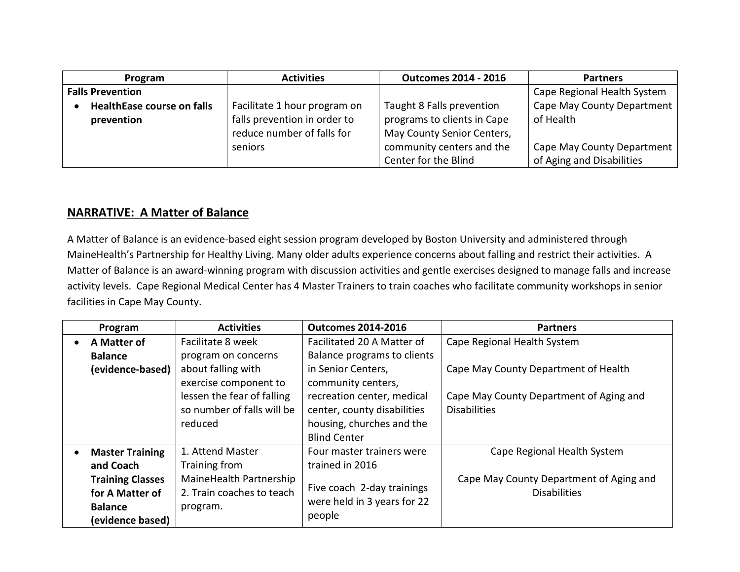| Program                                         | <b>Activities</b>                                                                          | <b>Outcomes 2014 - 2016</b>                                                            | <b>Partners</b>                                         |
|-------------------------------------------------|--------------------------------------------------------------------------------------------|----------------------------------------------------------------------------------------|---------------------------------------------------------|
| <b>Falls Prevention</b>                         |                                                                                            |                                                                                        | Cape Regional Health System                             |
| <b>HealthEase course on falls</b><br>prevention | Facilitate 1 hour program on<br>falls prevention in order to<br>reduce number of falls for | Taught 8 Falls prevention<br>programs to clients in Cape<br>May County Senior Centers, | Cape May County Department<br>of Health                 |
|                                                 | seniors                                                                                    | community centers and the<br>Center for the Blind                                      | Cape May County Department<br>of Aging and Disabilities |

#### **NARRATIVE: A Matter of Balance**

A Matter of Balance is an evidence-based eight session program developed by Boston University and administered through MaineHealth's Partnership for Healthy Living. Many older adults experience concerns about falling and restrict their activities. A Matter of Balance is an award-winning program with discussion activities and gentle exercises designed to manage falls and increase activity levels. Cape Regional Medical Center has 4 Master Trainers to train coaches who facilitate community workshops in senior facilities in Cape May County.

|           | Program                                      | <b>Activities</b>          | <b>Outcomes 2014-2016</b>   | <b>Partners</b>                         |
|-----------|----------------------------------------------|----------------------------|-----------------------------|-----------------------------------------|
| $\bullet$ | A Matter of                                  | Facilitate 8 week          | Facilitated 20 A Matter of  | Cape Regional Health System             |
|           | <b>Balance</b>                               | program on concerns        | Balance programs to clients |                                         |
|           | (evidence-based)                             | about falling with         | in Senior Centers,          | Cape May County Department of Health    |
|           |                                              | exercise component to      | community centers,          |                                         |
|           |                                              | lessen the fear of falling | recreation center, medical  | Cape May County Department of Aging and |
|           |                                              | so number of falls will be | center, county disabilities | <b>Disabilities</b>                     |
|           |                                              | reduced                    | housing, churches and the   |                                         |
|           |                                              |                            | <b>Blind Center</b>         |                                         |
| $\bullet$ | <b>Master Training</b>                       | 1. Attend Master           | Four master trainers were   | Cape Regional Health System             |
|           | and Coach                                    | Training from              | trained in 2016             |                                         |
|           | <b>Training Classes</b>                      | MaineHealth Partnership    |                             | Cape May County Department of Aging and |
|           | 2. Train coaches to teach<br>for A Matter of | Five coach 2-day trainings | <b>Disabilities</b>         |                                         |
|           | <b>Balance</b><br>program.                   |                            | were held in 3 years for 22 |                                         |
|           | (evidence based)                             |                            | people                      |                                         |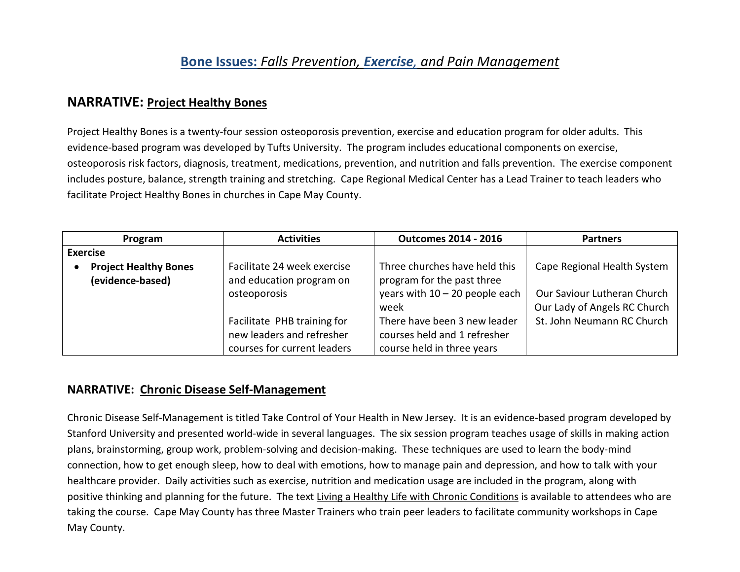#### **Bone Issues:** *Falls Prevention, Exercise, and Pain Management*

#### **NARRATIVE: Project Healthy Bones**

Project Healthy Bones is a twenty-four session osteoporosis prevention, exercise and education program for older adults. This evidence-based program was developed by Tufts University. The program includes educational components on exercise, osteoporosis risk factors, diagnosis, treatment, medications, prevention, and nutrition and falls prevention. The exercise component includes posture, balance, strength training and stretching. Cape Regional Medical Center has a Lead Trainer to teach leaders who facilitate Project Healthy Bones in churches in Cape May County.

| Program                                          | <b>Activities</b>                                                                       | <b>Outcomes 2014 - 2016</b>                                                                             | <b>Partners</b>                                                                                   |
|--------------------------------------------------|-----------------------------------------------------------------------------------------|---------------------------------------------------------------------------------------------------------|---------------------------------------------------------------------------------------------------|
| <b>Exercise</b>                                  |                                                                                         |                                                                                                         |                                                                                                   |
| <b>Project Healthy Bones</b><br>(evidence-based) | Facilitate 24 week exercise<br>and education program on<br>osteoporosis                 | Three churches have held this<br>program for the past three<br>years with $10 - 20$ people each<br>week | Cape Regional Health System<br><b>Our Saviour Lutheran Church</b><br>Our Lady of Angels RC Church |
|                                                  | Facilitate PHB training for<br>new leaders and refresher<br>courses for current leaders | There have been 3 new leader<br>courses held and 1 refresher<br>course held in three years              | St. John Neumann RC Church                                                                        |

#### **NARRATIVE: Chronic Disease Self-Management**

Chronic Disease Self-Management is titled Take Control of Your Health in New Jersey. It is an evidence-based program developed by Stanford University and presented world-wide in several languages. The six session program teaches usage of skills in making action plans, brainstorming, group work, problem-solving and decision-making. These techniques are used to learn the body-mind connection, how to get enough sleep, how to deal with emotions, how to manage pain and depression, and how to talk with your healthcare provider. Daily activities such as exercise, nutrition and medication usage are included in the program, along with positive thinking and planning for the future. The text Living a Healthy Life with Chronic Conditions is available to attendees who are taking the course. Cape May County has three Master Trainers who train peer leaders to facilitate community workshops in Cape May County.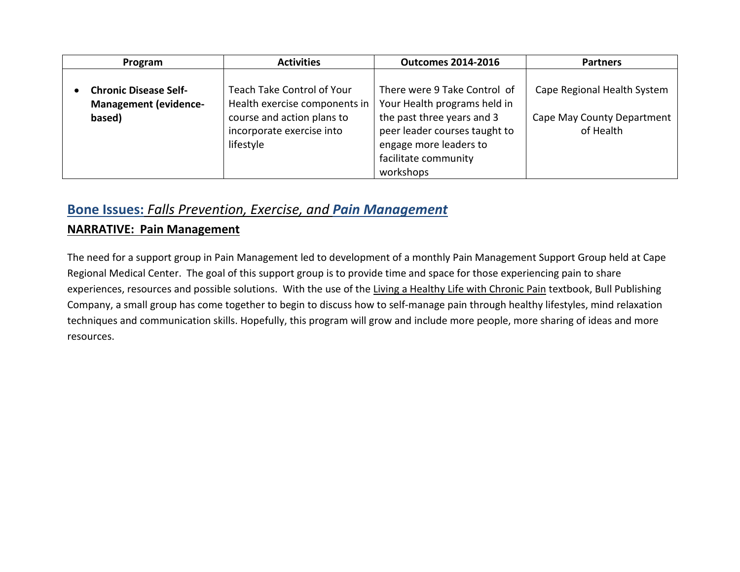| Program                                                                | <b>Activities</b>                                                                                                                   | <b>Outcomes 2014-2016</b>                                                                                                                                                                  | <b>Partners</b>                                                        |
|------------------------------------------------------------------------|-------------------------------------------------------------------------------------------------------------------------------------|--------------------------------------------------------------------------------------------------------------------------------------------------------------------------------------------|------------------------------------------------------------------------|
| <b>Chronic Disease Self-</b><br><b>Management (evidence-</b><br>based) | Teach Take Control of Your<br>Health exercise components in<br>course and action plans to<br>incorporate exercise into<br>lifestyle | There were 9 Take Control of<br>Your Health programs held in<br>the past three years and 3<br>peer leader courses taught to<br>engage more leaders to<br>facilitate community<br>workshops | Cape Regional Health System<br>Cape May County Department<br>of Health |

#### **Bone Issues:** *Falls Prevention, Exercise, and Pain Management*

#### **NARRATIVE: Pain Management**

The need for a support group in Pain Management led to development of a monthly Pain Management Support Group held at Cape Regional Medical Center. The goal of this support group is to provide time and space for those experiencing pain to share experiences, resources and possible solutions. With the use of the Living a Healthy Life with Chronic Pain textbook, Bull Publishing Company, a small group has come together to begin to discuss how to self-manage pain through healthy lifestyles, mind relaxation techniques and communication skills. Hopefully, this program will grow and include more people, more sharing of ideas and more resources.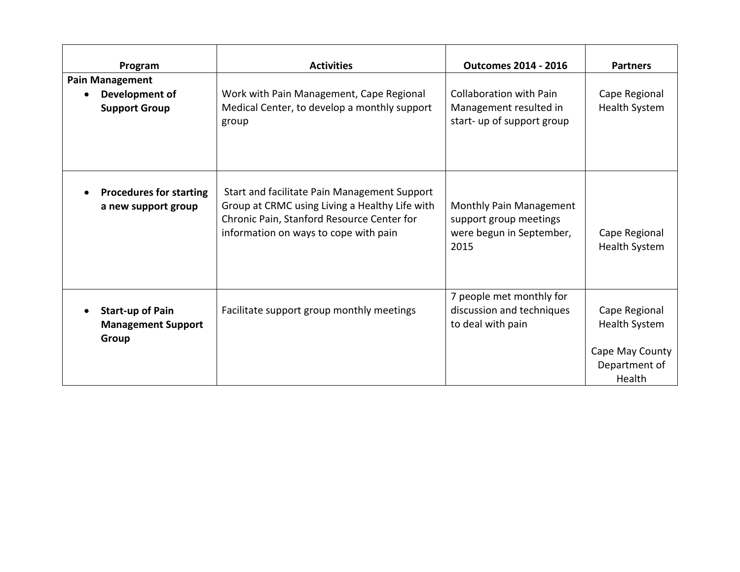| Program                                                          | <b>Activities</b>                                                                                                                                                                     | <b>Outcomes 2014 - 2016</b>                                                            | <b>Partners</b>                                                                     |
|------------------------------------------------------------------|---------------------------------------------------------------------------------------------------------------------------------------------------------------------------------------|----------------------------------------------------------------------------------------|-------------------------------------------------------------------------------------|
| <b>Pain Management</b><br>Development of<br><b>Support Group</b> | Work with Pain Management, Cape Regional<br>Medical Center, to develop a monthly support<br>group                                                                                     | <b>Collaboration with Pain</b><br>Management resulted in<br>start- up of support group | Cape Regional<br><b>Health System</b>                                               |
| <b>Procedures for starting</b><br>a new support group            | Start and facilitate Pain Management Support<br>Group at CRMC using Living a Healthy Life with<br>Chronic Pain, Stanford Resource Center for<br>information on ways to cope with pain | Monthly Pain Management<br>support group meetings<br>were begun in September,<br>2015  | Cape Regional<br><b>Health System</b>                                               |
| <b>Start-up of Pain</b><br><b>Management Support</b><br>Group    | Facilitate support group monthly meetings                                                                                                                                             | 7 people met monthly for<br>discussion and techniques<br>to deal with pain             | Cape Regional<br><b>Health System</b><br>Cape May County<br>Department of<br>Health |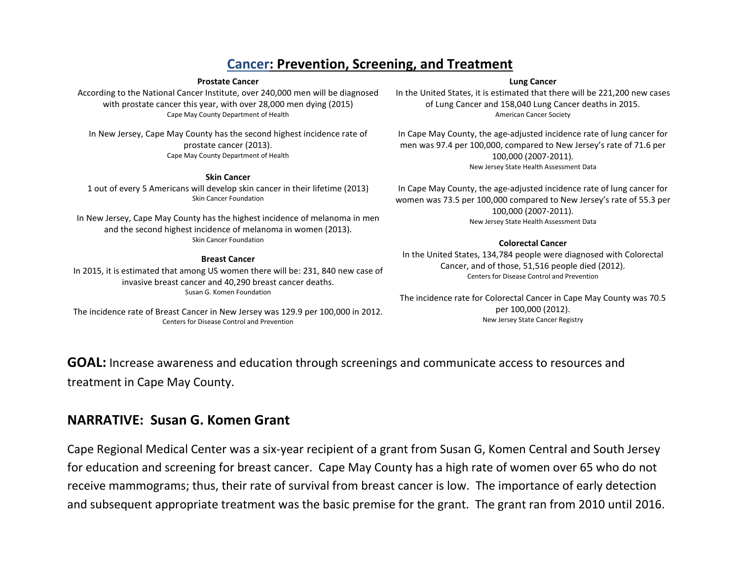#### **Cancer: Prevention, Screening, and Treatment**

#### **Prostate Cancer**

According to the National Cancer Institute, over 240,000 men will be diagnosed with prostate cancer this year, with over 28,000 men dying (2015) Cape May County Department of Health

In New Jersey, Cape May County has the second highest incidence rate of prostate cancer (2013). Cape May County Department of Health

#### **Skin Cancer**

1 out of every 5 Americans will develop skin cancer in their lifetime (2013) Skin Cancer Foundation

In New Jersey, Cape May County has the highest incidence of melanoma in men and the second highest incidence of melanoma in women (2013). Skin Cancer Foundation

#### **Breast Cancer**

In 2015, it is estimated that among US women there will be: 231, 840 new case of invasive breast cancer and 40,290 breast cancer deaths. Susan G. Komen Foundation

The incidence rate of Breast Cancer in New Jersey was 129.9 per 100,000 in 2012. Centers for Disease Control and Prevention

#### **Lung Cancer**

In the United States, it is estimated that there will be 221,200 new cases of Lung Cancer and 158,040 Lung Cancer deaths in 2015. American Cancer Society

In Cape May County, the age-adjusted incidence rate of lung cancer for men was 97.4 per 100,000, compared to New Jersey's rate of 71.6 per 100,000 (2007-2011). New Jersey State Health Assessment Data

In Cape May County, the age-adjusted incidence rate of lung cancer for women was 73.5 per 100,000 compared to New Jersey's rate of 55.3 per 100,000 (2007-2011). New Jersey State Health Assessment Data

#### **Colorectal Cancer**

In the United States, 134,784 people were diagnosed with Colorectal Cancer, and of those, 51,516 people died (2012). Centers for Disease Control and Prevention

The incidence rate for Colorectal Cancer in Cape May County was 70.5 per 100,000 (2012). New Jersey State Cancer Registry

**GOAL:** Increase awareness and education through screenings and communicate access to resources and treatment in Cape May County.

#### **NARRATIVE: Susan G. Komen Grant**

Cape Regional Medical Center was a six-year recipient of a grant from Susan G, Komen Central and South Jersey for education and screening for breast cancer. Cape May County has a high rate of women over 65 who do not receive mammograms; thus, their rate of survival from breast cancer is low. The importance of early detection and subsequent appropriate treatment was the basic premise for the grant. The grant ran from 2010 until 2016.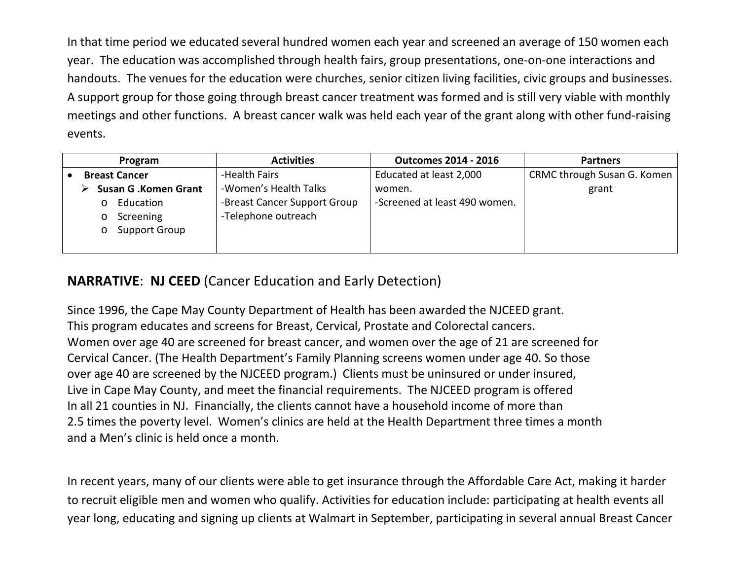In that time period we educated several hundred women each year and screened an average of 150 women each year. The education was accomplished through health fairs, group presentations, one-on-one interactions and handouts. The venues for the education were churches, senior citizen living facilities, civic groups and businesses. A support group for those going through breast cancer treatment was formed and is still very viable with monthly meetings and other functions. A breast cancer walk was held each year of the grant along with other fund-raising events.

| Program                                                                                                                        | <b>Activities</b>                                                                             | <b>Outcomes 2014 - 2016</b>                                        | <b>Partners</b>                      |
|--------------------------------------------------------------------------------------------------------------------------------|-----------------------------------------------------------------------------------------------|--------------------------------------------------------------------|--------------------------------------|
| <b>Breast Cancer</b><br><b>Susan G.Komen Grant</b><br>Education<br>$\circ$<br>Screening<br>$\circ$<br>Support Group<br>$\circ$ | -Health Fairs<br>-Women's Health Talks<br>-Breast Cancer Support Group<br>-Telephone outreach | Educated at least 2,000<br>women.<br>-Screened at least 490 women. | CRMC through Susan G. Komen<br>grant |

#### **NARRATIVE**: **NJ CEED** (Cancer Education and Early Detection)

Since 1996, the Cape May County Department of Health has been awarded the NJCEED grant. This program educates and screens for Breast, Cervical, Prostate and Colorectal cancers. Women over age 40 are screened for breast cancer, and women over the age of 21 are screened for Cervical Cancer. (The Health Department's Family Planning screens women under age 40. So those over age 40 are screened by the NJCEED program.) Clients must be uninsured or under insured, Live in Cape May County, and meet the financial requirements. The NJCEED program is offered In all 21 counties in NJ. Financially, the clients cannot have a household income of more than 2.5 times the poverty level. Women's clinics are held at the Health Department three times a month and a Men's clinic is held once a month.

In recent years, many of our clients were able to get insurance through the Affordable Care Act, making it harder to recruit eligible men and women who qualify. Activities for education include: participating at health events all year long, educating and signing up clients at Walmart in September, participating in several annual Breast Cancer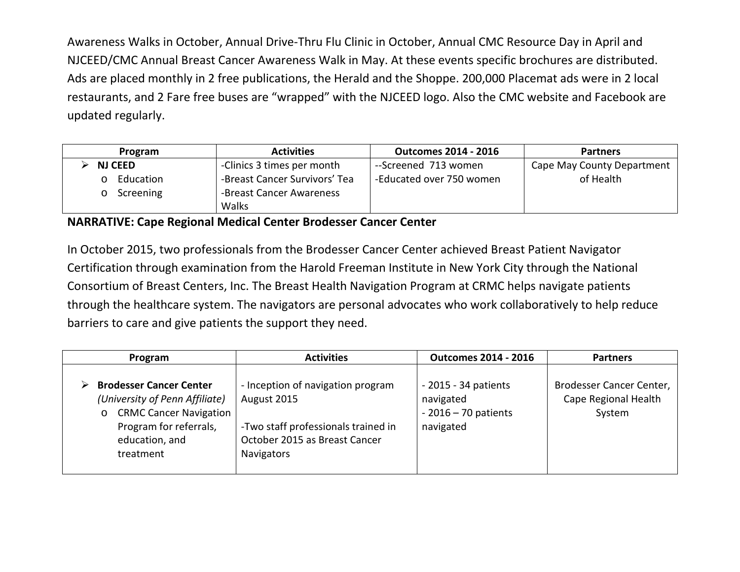Awareness Walks in October, Annual Drive-Thru Flu Clinic in October, Annual CMC Resource Day in April and NJCEED/CMC Annual Breast Cancer Awareness Walk in May. At these events specific brochures are distributed. Ads are placed monthly in 2 free publications, the Herald and the Shoppe. 200,000 Placemat ads were in 2 local restaurants, and 2 Fare free buses are "wrapped" with the NJCEED logo. Also the CMC website and Facebook are updated regularly.

| Program        | <b>Activities</b>             | <b>Outcomes 2014 - 2016</b> | <b>Partners</b>            |
|----------------|-------------------------------|-----------------------------|----------------------------|
| <b>NJ CEED</b> | -Clinics 3 times per month    | --Screened 713 women        | Cape May County Department |
| Education      | -Breast Cancer Survivors' Tea | -Educated over 750 women    | of Health                  |
| Screening      | -Breast Cancer Awareness      |                             |                            |
|                | Walks                         |                             |                            |

#### **NARRATIVE: Cape Regional Medical Center Brodesser Cancer Center**

In October 2015, two professionals from the Brodesser Cancer Center achieved Breast Patient Navigator Certification through examination from the Harold Freeman Institute in New York City through the National Consortium of Breast Centers, Inc. The Breast Health Navigation Program at CRMC helps navigate patients through the healthcare system. The navigators are personal advocates who work collaboratively to help reduce barriers to care and give patients the support they need.

| Program                                                                                                                                                               | <b>Activities</b>                                                                                                                      | <b>Outcomes 2014 - 2016</b>                                              | <b>Partners</b>                                            |
|-----------------------------------------------------------------------------------------------------------------------------------------------------------------------|----------------------------------------------------------------------------------------------------------------------------------------|--------------------------------------------------------------------------|------------------------------------------------------------|
| <b>Brodesser Cancer Center</b><br>(University of Penn Affiliate)<br><b>CRMC Cancer Navigation</b><br>$\circ$<br>Program for referrals,<br>education, and<br>treatment | - Inception of navigation program<br>August 2015<br>-Two staff professionals trained in<br>October 2015 as Breast Cancer<br>Navigators | $-2015 - 34$ patients<br>navigated<br>$-2016 - 70$ patients<br>navigated | Brodesser Cancer Center,<br>Cape Regional Health<br>System |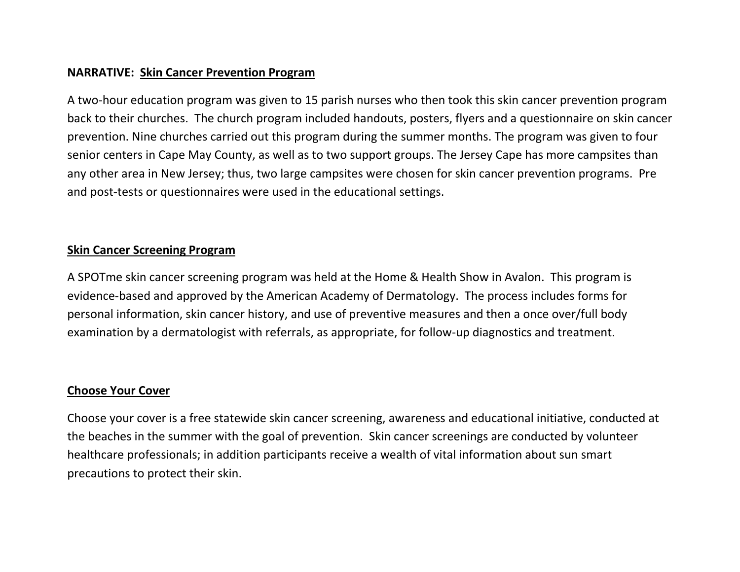#### **NARRATIVE: Skin Cancer Prevention Program**

A two-hour education program was given to 15 parish nurses who then took this skin cancer prevention program back to their churches. The church program included handouts, posters, flyers and a questionnaire on skin cancer prevention. Nine churches carried out this program during the summer months. The program was given to four senior centers in Cape May County, as well as to two support groups. The Jersey Cape has more campsites than any other area in New Jersey; thus, two large campsites were chosen for skin cancer prevention programs. Pre and post-tests or questionnaires were used in the educational settings.

#### **Skin Cancer Screening Program**

A SPOTme skin cancer screening program was held at the Home & Health Show in Avalon. This program is evidence-based and approved by the American Academy of Dermatology. The process includes forms for personal information, skin cancer history, and use of preventive measures and then a once over/full body examination by a dermatologist with referrals, as appropriate, for follow-up diagnostics and treatment.

#### **Choose Your Cover**

Choose your cover is a free statewide skin cancer screening, awareness and educational initiative, conducted at the beaches in the summer with the goal of prevention. Skin cancer screenings are conducted by volunteer healthcare professionals; in addition participants receive a wealth of vital information about sun smart precautions to protect their skin.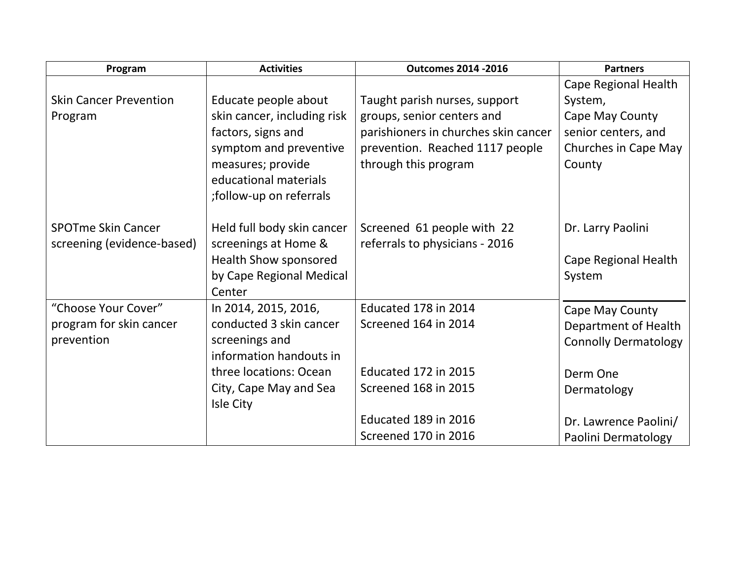| Program                       | <b>Activities</b>           | <b>Outcomes 2014 -2016</b>           | <b>Partners</b>             |
|-------------------------------|-----------------------------|--------------------------------------|-----------------------------|
|                               |                             |                                      | Cape Regional Health        |
| <b>Skin Cancer Prevention</b> | Educate people about        | Taught parish nurses, support        | System,                     |
| Program                       | skin cancer, including risk | groups, senior centers and           | Cape May County             |
|                               | factors, signs and          | parishioners in churches skin cancer | senior centers, and         |
|                               | symptom and preventive      | prevention. Reached 1117 people      | Churches in Cape May        |
|                               | measures; provide           | through this program                 | County                      |
|                               | educational materials       |                                      |                             |
|                               | ;follow-up on referrals     |                                      |                             |
|                               |                             |                                      |                             |
| <b>SPOTme Skin Cancer</b>     | Held full body skin cancer  | Screened 61 people with 22           | Dr. Larry Paolini           |
| screening (evidence-based)    | screenings at Home &        | referrals to physicians - 2016       |                             |
|                               | Health Show sponsored       |                                      | Cape Regional Health        |
|                               | by Cape Regional Medical    |                                      | System                      |
|                               | Center                      |                                      |                             |
| "Choose Your Cover"           | In 2014, 2015, 2016,        | Educated 178 in 2014                 | Cape May County             |
| program for skin cancer       | conducted 3 skin cancer     | Screened 164 in 2014                 | Department of Health        |
| prevention                    | screenings and              |                                      | <b>Connolly Dermatology</b> |
|                               | information handouts in     |                                      |                             |
|                               | three locations: Ocean      | Educated 172 in 2015                 | Derm One                    |
|                               | City, Cape May and Sea      | Screened 168 in 2015                 | Dermatology                 |
|                               | Isle City                   |                                      |                             |
|                               |                             | Educated 189 in 2016                 | Dr. Lawrence Paolini/       |
|                               |                             | <b>Screened 170 in 2016</b>          | Paolini Dermatology         |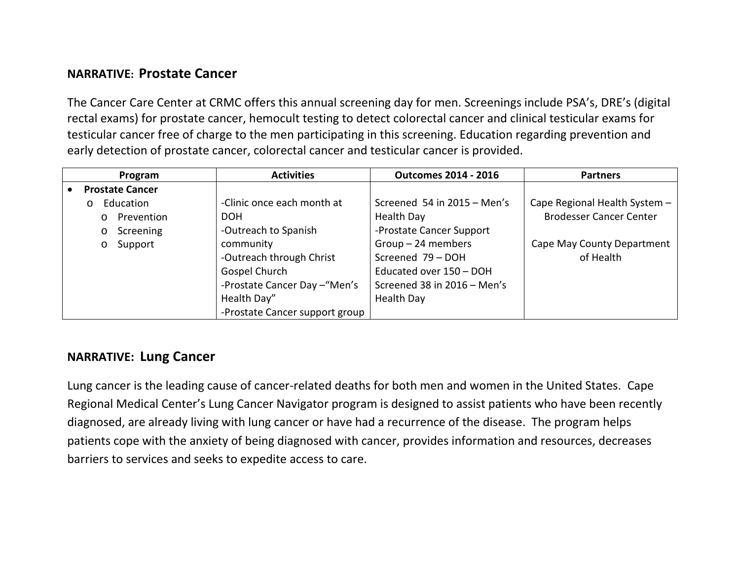#### **NARRATIVE: Prostate Cancer**

The Cancer Care Center at CRMC offers this annual screening day for men. Screenings include PSA's, DRE's (digital rectal exams) for prostate cancer, hemocult testing to detect colorectal cancer and clinical testicular exams for testicular cancer free of charge to the men participating in this screening. Education regarding prevention and early detection of prostate cancer, colorectal cancer and testicular cancer is provided.

|                        | Program               | <b>Activities</b>              | <b>Outcomes 2014 - 2016</b> | <b>Partners</b>                |
|------------------------|-----------------------|--------------------------------|-----------------------------|--------------------------------|
| <b>Prostate Cancer</b> |                       |                                |                             |                                |
|                        | Education<br>$\Omega$ | -Clinic once each month at     | Screened 54 in 2015 - Men's | Cape Regional Health System -  |
|                        | Prevention<br>$\circ$ | <b>DOH</b>                     | Health Day                  | <b>Brodesser Cancer Center</b> |
|                        | Screening<br>$\circ$  | -Outreach to Spanish           | -Prostate Cancer Support    |                                |
|                        | Support<br>$\circ$    | community                      | $Group-24$ members          | Cape May County Department     |
|                        |                       | -Outreach through Christ       | Screened 79 - DOH           | of Health                      |
|                        |                       | Gospel Church                  | Educated over 150 - DOH     |                                |
|                        |                       | -Prostate Cancer Day - "Men's  | Screened 38 in 2016 - Men's |                                |
|                        |                       | Health Day"                    | Health Day                  |                                |
|                        |                       | -Prostate Cancer support group |                             |                                |

#### **NARRATIVE: Lung Cancer**

Lung cancer is the leading cause of cancer-related deaths for both men and women in the United States. Cape Regional Medical Center's Lung Cancer Navigator program is designed to assist patients who have been recently diagnosed, are already living with lung cancer or have had a recurrence of the disease. The program helps patients cope with the anxiety of being diagnosed with cancer, provides information and resources, decreases barriers to services and seeks to expedite access to care.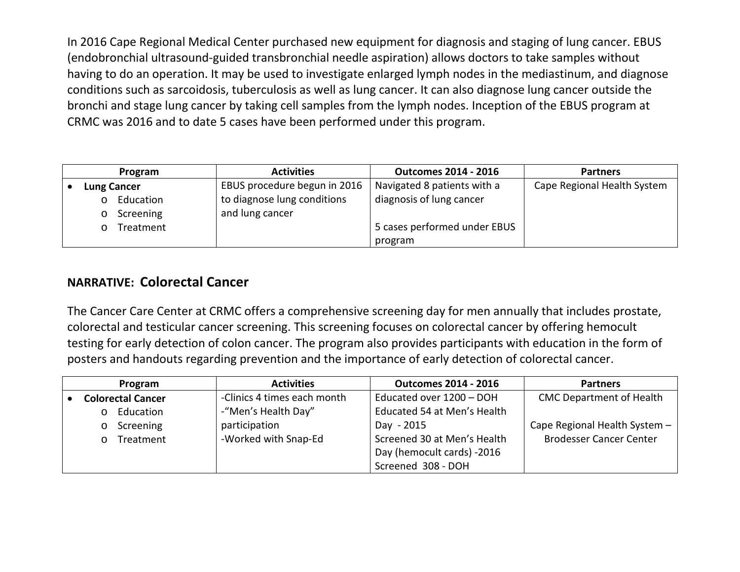In 2016 Cape Regional Medical Center purchased new equipment for diagnosis and staging of lung cancer. EBUS (endobronchial ultrasound-guided transbronchial needle aspiration) allows doctors to take samples without having to do an operation. It may be used to investigate enlarged lymph nodes in the mediastinum, and diagnose conditions such as sarcoidosis, tuberculosis as well as lung cancer. It can also diagnose lung cancer outside the bronchi and stage lung cancer by taking cell samples from the lymph nodes. Inception of the EBUS program at CRMC was 2016 and to date 5 cases have been performed under this program.

| Program            | <b>Activities</b>            | <b>Outcomes 2014 - 2016</b>  | <b>Partners</b>             |
|--------------------|------------------------------|------------------------------|-----------------------------|
| <b>Lung Cancer</b> | EBUS procedure begun in 2016 | Navigated 8 patients with a  | Cape Regional Health System |
| Education          | to diagnose lung conditions  | diagnosis of lung cancer     |                             |
| Screening          | and lung cancer              |                              |                             |
| Treatment          |                              | 5 cases performed under EBUS |                             |
|                    |                              | program                      |                             |

#### **NARRATIVE: Colorectal Cancer**

The Cancer Care Center at CRMC offers a comprehensive screening day for men annually that includes prostate, colorectal and testicular cancer screening. This screening focuses on colorectal cancer by offering hemocult testing for early detection of colon cancer. The program also provides participants with education in the form of posters and handouts regarding prevention and the importance of early detection of colorectal cancer.

| Program                  | <b>Activities</b>           | <b>Outcomes 2014 - 2016</b> | <b>Partners</b>                 |
|--------------------------|-----------------------------|-----------------------------|---------------------------------|
| <b>Colorectal Cancer</b> | -Clinics 4 times each month | Educated over 1200 - DOH    | <b>CMC Department of Health</b> |
| Education<br>$\Omega$    | -"Men's Health Day"         | Educated 54 at Men's Health |                                 |
| Screening<br>$\circ$     | participation               | Day - 2015                  | Cape Regional Health System -   |
| Treatment<br>$\Omega$    | -Worked with Snap-Ed        | Screened 30 at Men's Health | <b>Brodesser Cancer Center</b>  |
|                          |                             | Day (hemocult cards) -2016  |                                 |
|                          |                             | Screened 308 - DOH          |                                 |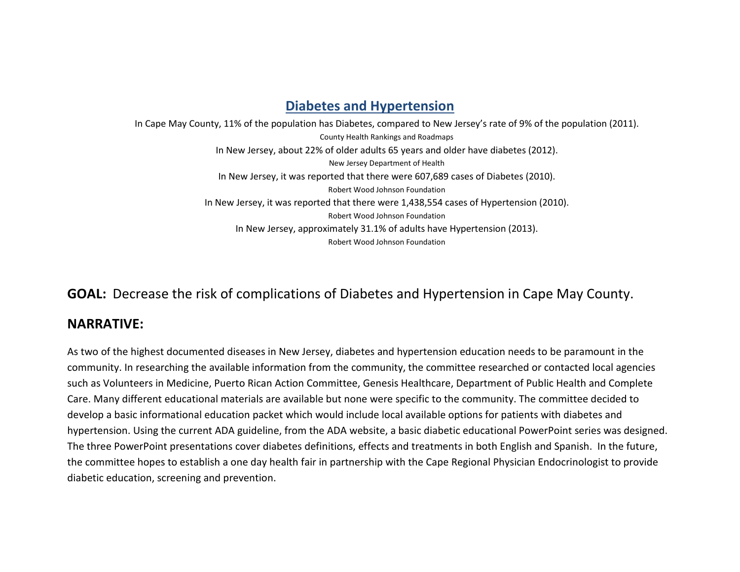#### **Diabetes and Hypertension**

In Cape May County, 11% of the population has Diabetes, compared to New Jersey's rate of 9% of the population (2011). County Health Rankings and Roadmaps In New Jersey, about 22% of older adults 65 years and older have diabetes (2012). New Jersey Department of Health In New Jersey, it was reported that there were 607,689 cases of Diabetes (2010). Robert Wood Johnson Foundation In New Jersey, it was reported that there were 1,438,554 cases of Hypertension (2010). Robert Wood Johnson Foundation In New Jersey, approximately 31.1% of adults have Hypertension (2013). Robert Wood Johnson Foundation

#### **GOAL:** Decrease the risk of complications of Diabetes and Hypertension in Cape May County.

#### **NARRATIVE:**

As two of the highest documented diseases in New Jersey, diabetes and hypertension education needs to be paramount in the community. In researching the available information from the community, the committee researched or contacted local agencies such as Volunteers in Medicine, Puerto Rican Action Committee, Genesis Healthcare, Department of Public Health and Complete Care. Many different educational materials are available but none were specific to the community. The committee decided to develop a basic informational education packet which would include local available options for patients with diabetes and hypertension. Using the current ADA guideline, from the ADA website, a basic diabetic educational PowerPoint series was designed. The three PowerPoint presentations cover diabetes definitions, effects and treatments in both English and Spanish. In the future, the committee hopes to establish a one day health fair in partnership with the Cape Regional Physician Endocrinologist to provide diabetic education, screening and prevention.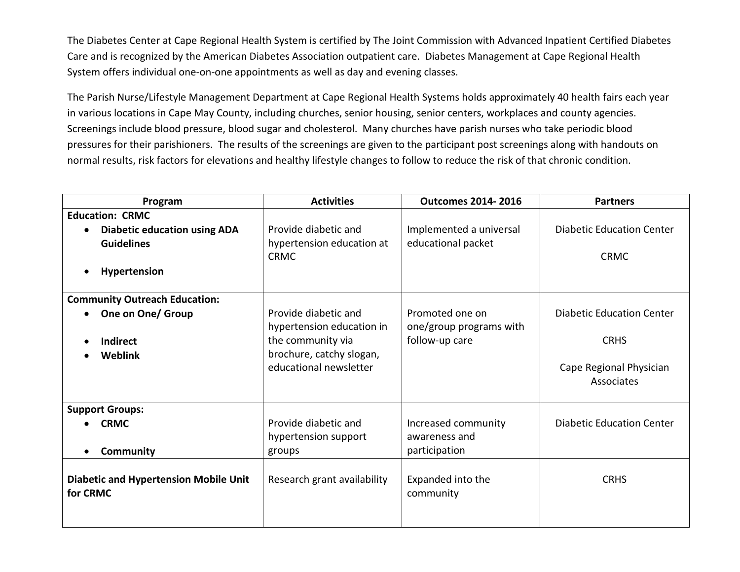The Diabetes Center at Cape Regional Health System is certified by The Joint Commission with Advanced Inpatient Certified Diabetes Care and is recognized by the American Diabetes Association outpatient care. Diabetes Management at Cape Regional Health System offers individual one-on-one appointments as well as day and evening classes.

The Parish Nurse/Lifestyle Management Department at Cape Regional Health Systems holds approximately 40 health fairs each year in various locations in Cape May County, including churches, senior housing, senior centers, workplaces and county agencies. Screenings include blood pressure, blood sugar and cholesterol. Many churches have parish nurses who take periodic blood pressures for their parishioners. The results of the screenings are given to the participant post screenings along with handouts on normal results, risk factors for elevations and healthy lifestyle changes to follow to reduce the risk of that chronic condition.

| Program                                      | <b>Activities</b>                             | <b>Outcomes 2014-2016</b> | <b>Partners</b>                  |
|----------------------------------------------|-----------------------------------------------|---------------------------|----------------------------------|
| <b>Education: CRMC</b>                       |                                               |                           |                                  |
| <b>Diabetic education using ADA</b>          | Provide diabetic and                          | Implemented a universal   | <b>Diabetic Education Center</b> |
| <b>Guidelines</b>                            | hypertension education at                     | educational packet        |                                  |
|                                              | <b>CRMC</b>                                   |                           | <b>CRMC</b>                      |
| Hypertension                                 |                                               |                           |                                  |
| <b>Community Outreach Education:</b>         |                                               |                           |                                  |
| One on One/ Group                            | Provide diabetic and                          | Promoted one on           | <b>Diabetic Education Center</b> |
|                                              | hypertension education in                     | one/group programs with   | <b>CRHS</b>                      |
| <b>Indirect</b>                              | the community via<br>brochure, catchy slogan, | follow-up care            |                                  |
| Weblink                                      | educational newsletter                        |                           | Cape Regional Physician          |
|                                              |                                               |                           | Associates                       |
|                                              |                                               |                           |                                  |
| <b>Support Groups:</b>                       |                                               |                           |                                  |
| <b>CRMC</b>                                  | Provide diabetic and                          | Increased community       | <b>Diabetic Education Center</b> |
|                                              | hypertension support                          | awareness and             |                                  |
| <b>Community</b>                             | groups                                        | participation             |                                  |
|                                              |                                               |                           |                                  |
| <b>Diabetic and Hypertension Mobile Unit</b> | Research grant availability                   | Expanded into the         | <b>CRHS</b>                      |
| for CRMC                                     |                                               | community                 |                                  |
|                                              |                                               |                           |                                  |
|                                              |                                               |                           |                                  |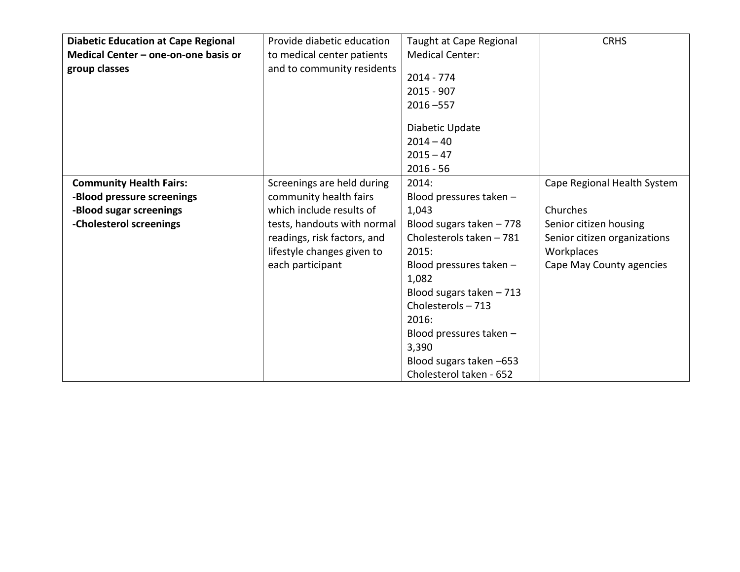|                                            | Provide diabetic education  |                           | <b>CRHS</b>                  |
|--------------------------------------------|-----------------------------|---------------------------|------------------------------|
| <b>Diabetic Education at Cape Regional</b> |                             | Taught at Cape Regional   |                              |
| Medical Center - one-on-one basis or       | to medical center patients  | <b>Medical Center:</b>    |                              |
| group classes                              | and to community residents  |                           |                              |
|                                            |                             | $2014 - 774$              |                              |
|                                            |                             | $2015 - 907$              |                              |
|                                            |                             | $2016 - 557$              |                              |
|                                            |                             |                           |                              |
|                                            |                             | Diabetic Update           |                              |
|                                            |                             | $2014 - 40$               |                              |
|                                            |                             | $2015 - 47$               |                              |
|                                            |                             | $2016 - 56$               |                              |
| <b>Community Health Fairs:</b>             | Screenings are held during  | 2014:                     | Cape Regional Health System  |
| -Blood pressure screenings                 | community health fairs      | Blood pressures taken -   |                              |
| -Blood sugar screenings                    | which include results of    | 1,043                     | Churches                     |
| -Cholesterol screenings                    | tests, handouts with normal | Blood sugars taken $-778$ | Senior citizen housing       |
|                                            | readings, risk factors, and | Cholesterols taken - 781  | Senior citizen organizations |
|                                            | lifestyle changes given to  | 2015:                     | Workplaces                   |
|                                            | each participant            | Blood pressures taken -   | Cape May County agencies     |
|                                            |                             | 1,082                     |                              |
|                                            |                             | Blood sugars taken $-713$ |                              |
|                                            |                             | Cholesterols-713          |                              |
|                                            |                             | 2016:                     |                              |
|                                            |                             |                           |                              |
|                                            |                             | Blood pressures taken -   |                              |
|                                            |                             | 3,390                     |                              |
|                                            |                             | Blood sugars taken -653   |                              |
|                                            |                             | Cholesterol taken - 652   |                              |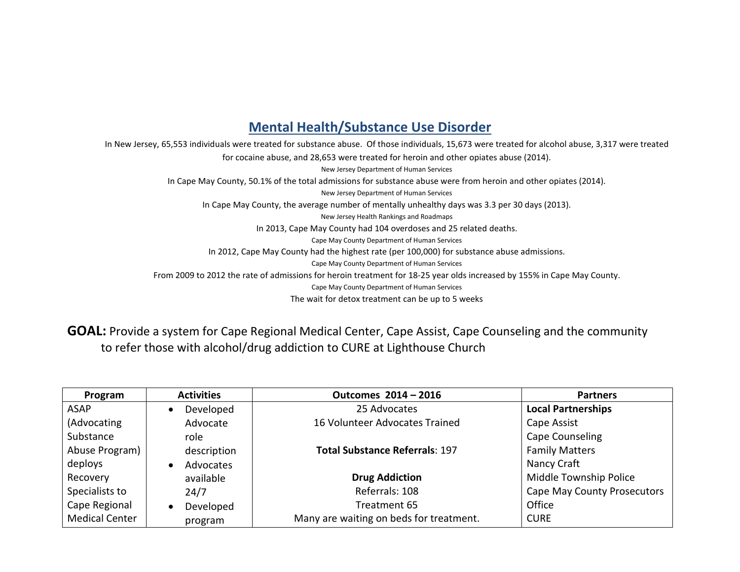#### **Mental Health/Substance Use Disorder**

In New Jersey, 65,553 individuals were treated for substance abuse. Of those individuals, 15,673 were treated for alcohol abuse, 3,317 were treated for cocaine abuse, and 28,653 were treated for heroin and other opiates abuse (2014). New Jersey Department of Human Services In Cape May County, 50.1% of the total admissions for substance abuse were from heroin and other opiates (2014). New Jersey Department of Human Services In Cape May County, the average number of mentally unhealthy days was 3.3 per 30 days (2013). New Jersey Health Rankings and Roadmaps In 2013, Cape May County had 104 overdoses and 25 related deaths. Cape May County Department of Human Services In 2012, Cape May County had the highest rate (per 100,000) for substance abuse admissions. Cape May County Department of Human Services From 2009 to 2012 the rate of admissions for heroin treatment for 18-25 year olds increased by 155% in Cape May County. Cape May County Department of Human Services The wait for detox treatment can be up to 5 weeks

**GOAL:** Provide a system for Cape Regional Medical Center, Cape Assist, Cape Counseling and the community to refer those with alcohol/drug addiction to CURE at Lighthouse Church

| Program               | <b>Activities</b>      | Outcomes 2014 - 2016                    | <b>Partners</b>             |
|-----------------------|------------------------|-----------------------------------------|-----------------------------|
| ASAP                  | Developed<br>$\bullet$ | 25 Advocates                            | <b>Local Partnerships</b>   |
| (Advocating           | Advocate               | 16 Volunteer Advocates Trained          | Cape Assist                 |
| Substance             | role                   |                                         | Cape Counseling             |
| Abuse Program)        | description            | <b>Total Substance Referrals: 197</b>   | <b>Family Matters</b>       |
| deploys               | Advocates<br>$\bullet$ |                                         | Nancy Craft                 |
| Recovery              | available              | <b>Drug Addiction</b>                   | Middle Township Police      |
| Specialists to        | 24/7                   | Referrals: 108                          | Cape May County Prosecutors |
| Cape Regional         | Developed<br>$\bullet$ | Treatment 65                            | Office                      |
| <b>Medical Center</b> | program                | Many are waiting on beds for treatment. | <b>CURE</b>                 |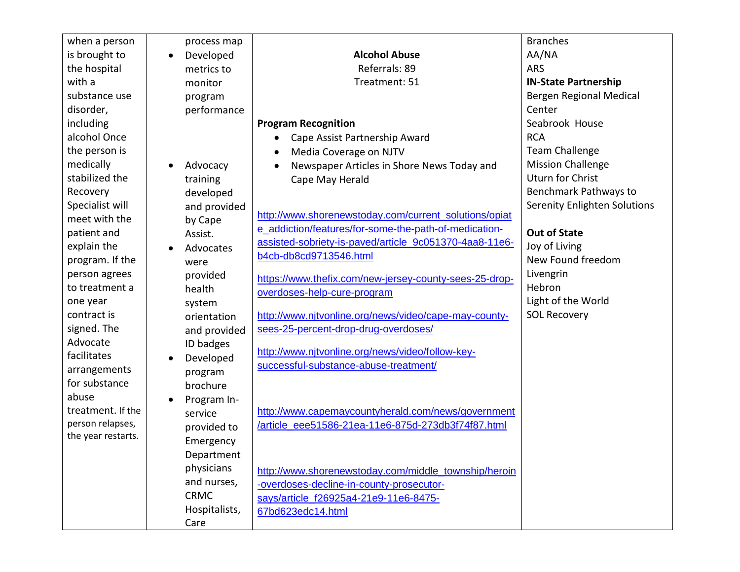| when a person      | process map              |                                                        | <b>Branches</b>              |
|--------------------|--------------------------|--------------------------------------------------------|------------------------------|
| is brought to      | Developed<br>$\bullet$   | <b>Alcohol Abuse</b>                                   | AA/NA                        |
| the hospital       | metrics to               | Referrals: 89                                          | <b>ARS</b>                   |
| with a             | monitor                  | Treatment: 51                                          | <b>IN-State Partnership</b>  |
| substance use      | program                  |                                                        | Bergen Regional Medical      |
| disorder,          | performance              |                                                        | Center                       |
| including          |                          | <b>Program Recognition</b>                             | Seabrook House               |
| alcohol Once       |                          | Cape Assist Partnership Award                          | <b>RCA</b>                   |
| the person is      |                          | Media Coverage on NJTV                                 | <b>Team Challenge</b>        |
| medically          | Advocacy                 | Newspaper Articles in Shore News Today and             | <b>Mission Challenge</b>     |
| stabilized the     | training                 | Cape May Herald                                        | <b>Uturn for Christ</b>      |
| Recovery           | developed                |                                                        | Benchmark Pathways to        |
| Specialist will    | and provided             |                                                        | Serenity Enlighten Solutions |
| meet with the      | by Cape                  | http://www.shorenewstoday.com/current_solutions/opiat  |                              |
| patient and        | Assist.                  | e addiction/features/for-some-the-path-of-medication-  | <b>Out of State</b>          |
| explain the        | Advocates                | assisted-sobriety-is-paved/article_9c051370-4aa8-11e6- | Joy of Living                |
| program. If the    | were                     | b4cb-db8cd9713546.html                                 | New Found freedom            |
| person agrees      | provided                 | https://www.thefix.com/new-jersey-county-sees-25-drop- | Livengrin                    |
| to treatment a     | health                   | overdoses-help-cure-program                            | Hebron                       |
| one year           | system                   |                                                        | Light of the World           |
| contract is        | orientation              | http://www.njtvonline.org/news/video/cape-may-county-  | <b>SOL Recovery</b>          |
| signed. The        | and provided             | sees-25-percent-drop-drug-overdoses/                   |                              |
| Advocate           | ID badges                |                                                        |                              |
| facilitates        | Developed<br>$\bullet$   | http://www.njtvonline.org/news/video/follow-key-       |                              |
| arrangements       | program                  | successful-substance-abuse-treatment/                  |                              |
| for substance      | brochure                 |                                                        |                              |
| abuse              | Program In-<br>$\bullet$ |                                                        |                              |
| treatment. If the  | service                  | http://www.capemaycountyherald.com/news/government     |                              |
| person relapses,   | provided to              | /article eee51586-21ea-11e6-875d-273db3f74f87.html     |                              |
| the year restarts. | Emergency                |                                                        |                              |
|                    | Department               |                                                        |                              |
|                    | physicians               | http://www.shorenewstoday.com/middle_township/heroin   |                              |
|                    | and nurses,              | -overdoses-decline-in-county-prosecutor-               |                              |
|                    | <b>CRMC</b>              | says/article_f26925a4-21e9-11e6-8475-                  |                              |
|                    | Hospitalists,            | 67bd623edc14.html                                      |                              |
|                    | Care                     |                                                        |                              |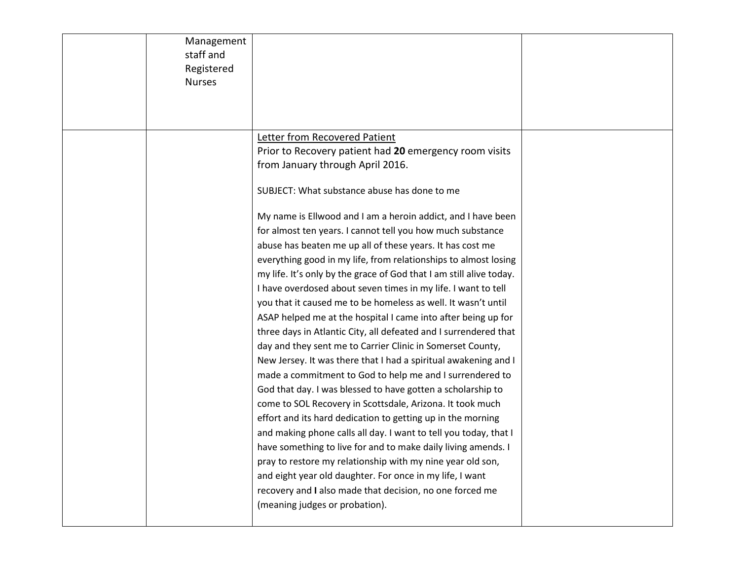| Management    |                                                                     |  |
|---------------|---------------------------------------------------------------------|--|
| staff and     |                                                                     |  |
| Registered    |                                                                     |  |
| <b>Nurses</b> |                                                                     |  |
|               |                                                                     |  |
|               |                                                                     |  |
|               |                                                                     |  |
|               | Letter from Recovered Patient                                       |  |
|               | Prior to Recovery patient had 20 emergency room visits              |  |
|               | from January through April 2016.                                    |  |
|               | SUBJECT: What substance abuse has done to me                        |  |
|               | My name is Ellwood and I am a heroin addict, and I have been        |  |
|               | for almost ten years. I cannot tell you how much substance          |  |
|               | abuse has beaten me up all of these years. It has cost me           |  |
|               | everything good in my life, from relationships to almost losing     |  |
|               | my life. It's only by the grace of God that I am still alive today. |  |
|               | I have overdosed about seven times in my life. I want to tell       |  |
|               | you that it caused me to be homeless as well. It wasn't until       |  |
|               | ASAP helped me at the hospital I came into after being up for       |  |
|               | three days in Atlantic City, all defeated and I surrendered that    |  |
|               | day and they sent me to Carrier Clinic in Somerset County,          |  |
|               | New Jersey. It was there that I had a spiritual awakening and I     |  |
|               | made a commitment to God to help me and I surrendered to            |  |
|               | God that day. I was blessed to have gotten a scholarship to         |  |
|               | come to SOL Recovery in Scottsdale, Arizona. It took much           |  |
|               | effort and its hard dedication to getting up in the morning         |  |
|               | and making phone calls all day. I want to tell you today, that I    |  |
|               | have something to live for and to make daily living amends. I       |  |
|               | pray to restore my relationship with my nine year old son,          |  |
|               | and eight year old daughter. For once in my life, I want            |  |
|               | recovery and I also made that decision, no one forced me            |  |
|               | (meaning judges or probation).                                      |  |
|               |                                                                     |  |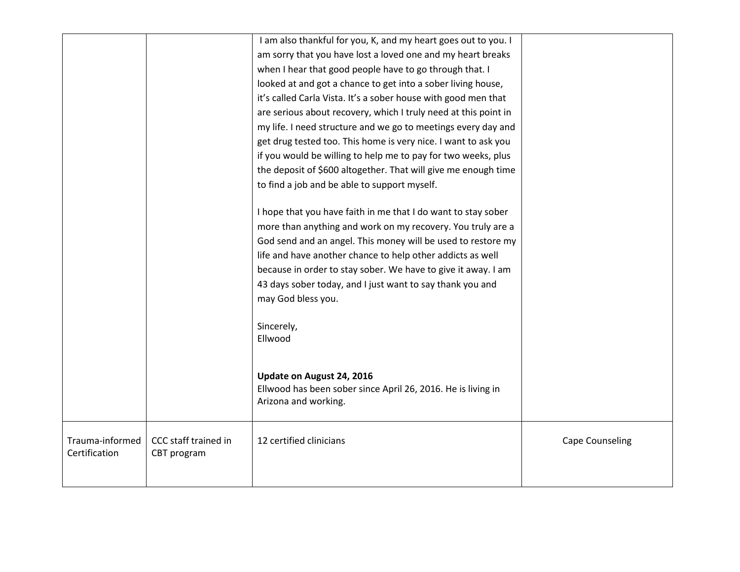|                                  |                                     | I am also thankful for you, K, and my heart goes out to you. I<br>am sorry that you have lost a loved one and my heart breaks<br>when I hear that good people have to go through that. I<br>looked at and got a chance to get into a sober living house,<br>it's called Carla Vista. It's a sober house with good men that<br>are serious about recovery, which I truly need at this point in<br>my life. I need structure and we go to meetings every day and<br>get drug tested too. This home is very nice. I want to ask you<br>if you would be willing to help me to pay for two weeks, plus<br>the deposit of \$600 altogether. That will give me enough time<br>to find a job and be able to support myself.<br>I hope that you have faith in me that I do want to stay sober<br>more than anything and work on my recovery. You truly are a<br>God send and an angel. This money will be used to restore my<br>life and have another chance to help other addicts as well<br>because in order to stay sober. We have to give it away. I am<br>43 days sober today, and I just want to say thank you and<br>may God bless you.<br>Sincerely,<br>Ellwood<br>Update on August 24, 2016<br>Ellwood has been sober since April 26, 2016. He is living in<br>Arizona and working. |                        |
|----------------------------------|-------------------------------------|-------------------------------------------------------------------------------------------------------------------------------------------------------------------------------------------------------------------------------------------------------------------------------------------------------------------------------------------------------------------------------------------------------------------------------------------------------------------------------------------------------------------------------------------------------------------------------------------------------------------------------------------------------------------------------------------------------------------------------------------------------------------------------------------------------------------------------------------------------------------------------------------------------------------------------------------------------------------------------------------------------------------------------------------------------------------------------------------------------------------------------------------------------------------------------------------------------------------------------------------------------------------------------------|------------------------|
|                                  |                                     |                                                                                                                                                                                                                                                                                                                                                                                                                                                                                                                                                                                                                                                                                                                                                                                                                                                                                                                                                                                                                                                                                                                                                                                                                                                                                     |                        |
| Trauma-informed<br>Certification | CCC staff trained in<br>CBT program | 12 certified clinicians                                                                                                                                                                                                                                                                                                                                                                                                                                                                                                                                                                                                                                                                                                                                                                                                                                                                                                                                                                                                                                                                                                                                                                                                                                                             | <b>Cape Counseling</b> |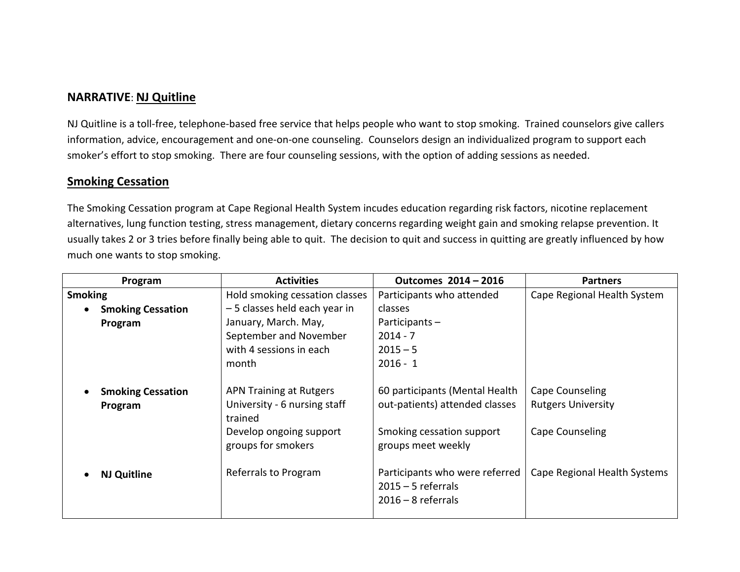#### **NARRATIVE**: **NJ Quitline**

NJ Quitline is a toll-free, telephone-based free service that helps people who want to stop smoking. Trained counselors give callers information, advice, encouragement and one-on-one counseling. Counselors design an individualized program to support each smoker's effort to stop smoking. There are four counseling sessions, with the option of adding sessions as needed.

#### **Smoking Cessation**

The Smoking Cessation program at Cape Regional Health System incudes education regarding risk factors, nicotine replacement alternatives, lung function testing, stress management, dietary concerns regarding weight gain and smoking relapse prevention. It usually takes 2 or 3 tries before finally being able to quit. The decision to quit and success in quitting are greatly influenced by how much one wants to stop smoking.

| Program                             | <b>Activities</b>                                                         | Outcomes 2014 - 2016                                                           | <b>Partners</b>                              |
|-------------------------------------|---------------------------------------------------------------------------|--------------------------------------------------------------------------------|----------------------------------------------|
| <b>Smoking</b>                      | Hold smoking cessation classes                                            | Participants who attended                                                      | Cape Regional Health System                  |
| <b>Smoking Cessation</b>            | -5 classes held each year in                                              | classes                                                                        |                                              |
| Program                             | January, March. May,                                                      | Participants-                                                                  |                                              |
|                                     | September and November                                                    | $2014 - 7$                                                                     |                                              |
|                                     | with 4 sessions in each                                                   | $2015 - 5$                                                                     |                                              |
|                                     | month                                                                     | $2016 - 1$                                                                     |                                              |
| <b>Smoking Cessation</b><br>Program | <b>APN Training at Rutgers</b><br>University - 6 nursing staff<br>trained | 60 participants (Mental Health<br>out-patients) attended classes               | Cape Counseling<br><b>Rutgers University</b> |
|                                     | Develop ongoing support<br>groups for smokers                             | Smoking cessation support<br>groups meet weekly                                | Cape Counseling                              |
| <b>NJ Quitline</b>                  | Referrals to Program                                                      | Participants who were referred<br>$2015 - 5$ referrals<br>$2016 - 8$ referrals | Cape Regional Health Systems                 |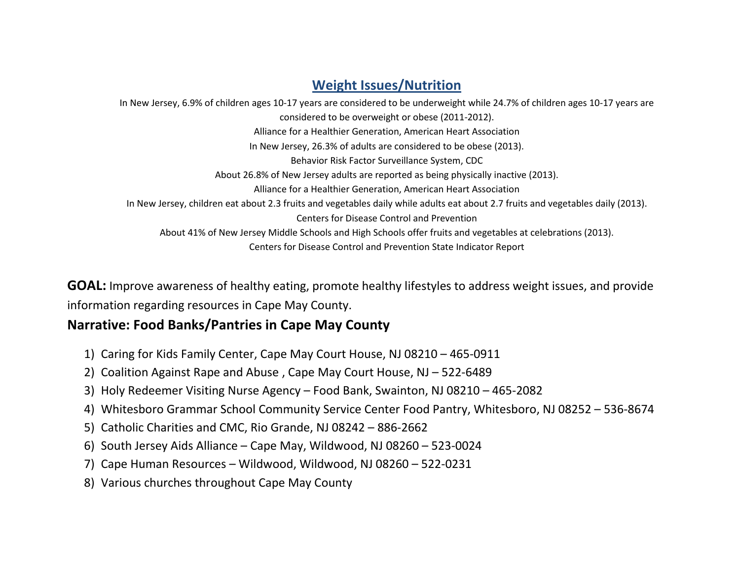#### **Weight Issues/Nutrition**

In New Jersey, 6.9% of children ages 10-17 years are considered to be underweight while 24.7% of children ages 10-17 years are considered to be overweight or obese (2011-2012). Alliance for a Healthier Generation, American Heart Association In New Jersey, 26.3% of adults are considered to be obese (2013). Behavior Risk Factor Surveillance System, CDC About 26.8% of New Jersey adults are reported as being physically inactive (2013). Alliance for a Healthier Generation, American Heart Association In New Jersey, children eat about 2.3 fruits and vegetables daily while adults eat about 2.7 fruits and vegetables daily (2013). Centers for Disease Control and Prevention About 41% of New Jersey Middle Schools and High Schools offer fruits and vegetables at celebrations (2013). Centers for Disease Control and Prevention State Indicator Report

**GOAL:** Improve awareness of healthy eating, promote healthy lifestyles to address weight issues, and provide information regarding resources in Cape May County.

#### **Narrative: Food Banks/Pantries in Cape May County**

- 1) Caring for Kids Family Center, Cape May Court House, NJ 08210 465-0911
- 2) Coalition Against Rape and Abuse , Cape May Court House, NJ 522-6489
- 3) Holy Redeemer Visiting Nurse Agency Food Bank, Swainton, NJ 08210 465-2082
- 4) Whitesboro Grammar School Community Service Center Food Pantry, Whitesboro, NJ 08252 536-8674
- 5) Catholic Charities and CMC, Rio Grande, NJ 08242 886-2662
- 6) South Jersey Aids Alliance Cape May, Wildwood, NJ 08260 523-0024
- 7) Cape Human Resources Wildwood, Wildwood, NJ 08260 522-0231
- 8) Various churches throughout Cape May County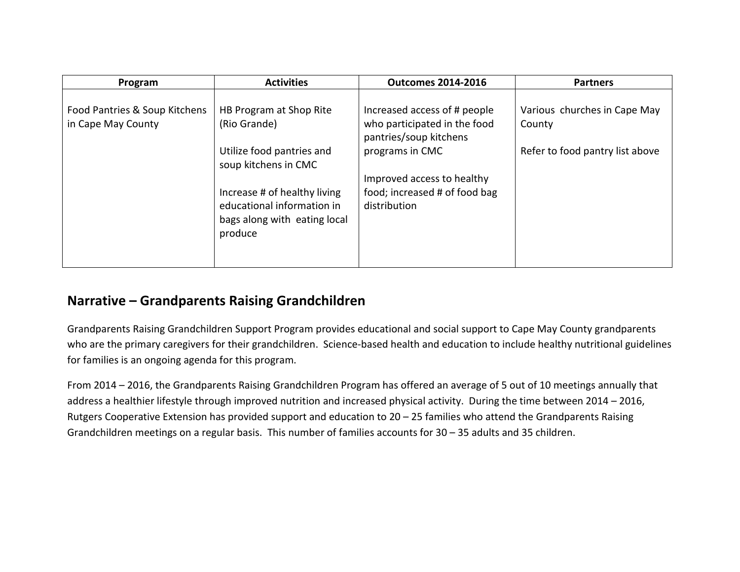| Program                                             | <b>Activities</b>                                                                                     | <b>Outcomes 2014-2016</b>                                                   | <b>Partners</b>                        |
|-----------------------------------------------------|-------------------------------------------------------------------------------------------------------|-----------------------------------------------------------------------------|----------------------------------------|
| Food Pantries & Soup Kitchens<br>in Cape May County | HB Program at Shop Rite<br>(Rio Grande)                                                               | Increased access of # people<br>who participated in the food                | Various churches in Cape May<br>County |
|                                                     | Utilize food pantries and<br>soup kitchens in CMC                                                     | pantries/soup kitchens<br>programs in CMC                                   | Refer to food pantry list above        |
|                                                     | Increase # of healthy living<br>educational information in<br>bags along with eating local<br>produce | Improved access to healthy<br>food; increased # of food bag<br>distribution |                                        |
|                                                     |                                                                                                       |                                                                             |                                        |

#### **Narrative – Grandparents Raising Grandchildren**

Grandparents Raising Grandchildren Support Program provides educational and social support to Cape May County grandparents who are the primary caregivers for their grandchildren. Science-based health and education to include healthy nutritional guidelines for families is an ongoing agenda for this program.

From 2014 – 2016, the Grandparents Raising Grandchildren Program has offered an average of 5 out of 10 meetings annually that address a healthier lifestyle through improved nutrition and increased physical activity. During the time between 2014 – 2016, Rutgers Cooperative Extension has provided support and education to 20 – 25 families who attend the Grandparents Raising Grandchildren meetings on a regular basis. This number of families accounts for 30 – 35 adults and 35 children.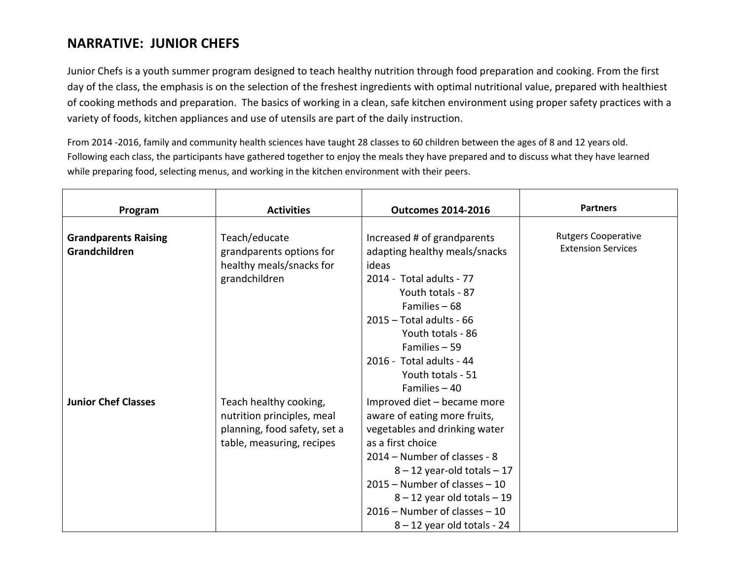#### **NARRATIVE: JUNIOR CHEFS**

Junior Chefs is a youth summer program designed to teach healthy nutrition through food preparation and cooking. From the first day of the class, the emphasis is on the selection of the freshest ingredients with optimal nutritional value, prepared with healthiest of cooking methods and preparation. The basics of working in a clean, safe kitchen environment using proper safety practices with a variety of foods, kitchen appliances and use of utensils are part of the daily instruction.

From 2014 -2016, family and community health sciences have taught 28 classes to 60 children between the ages of 8 and 12 years old. Following each class, the participants have gathered together to enjoy the meals they have prepared and to discuss what they have learned while preparing food, selecting menus, and working in the kitchen environment with their peers.

| Program                     | <b>Activities</b>            | <b>Outcomes 2014-2016</b>        | <b>Partners</b>            |
|-----------------------------|------------------------------|----------------------------------|----------------------------|
|                             |                              |                                  |                            |
| <b>Grandparents Raising</b> | Teach/educate                | Increased # of grandparents      | <b>Rutgers Cooperative</b> |
| Grandchildren               | grandparents options for     | adapting healthy meals/snacks    | <b>Extension Services</b>  |
|                             | healthy meals/snacks for     | ideas                            |                            |
|                             | grandchildren                | 2014 - Total adults - 77         |                            |
|                             |                              | Youth totals - 87                |                            |
|                             |                              | Families $-68$                   |                            |
|                             |                              | $2015 - Total adults - 66$       |                            |
|                             |                              | Youth totals - 86                |                            |
|                             |                              | Families - 59                    |                            |
|                             |                              | 2016 - Total adults - 44         |                            |
|                             |                              | Youth totals - 51                |                            |
|                             |                              | Families $-40$                   |                            |
| <b>Junior Chef Classes</b>  | Teach healthy cooking,       | Improved diet - became more      |                            |
|                             | nutrition principles, meal   | aware of eating more fruits,     |                            |
|                             | planning, food safety, set a | vegetables and drinking water    |                            |
|                             | table, measuring, recipes    | as a first choice                |                            |
|                             |                              | 2014 – Number of classes - 8     |                            |
|                             |                              | $8 - 12$ year-old totals $-17$   |                            |
|                             |                              | $2015 -$ Number of classes $-10$ |                            |
|                             |                              | $8 - 12$ year old totals $-19$   |                            |
|                             |                              | $2016$ – Number of classes – 10  |                            |
|                             |                              | $8 - 12$ year old totals - 24    |                            |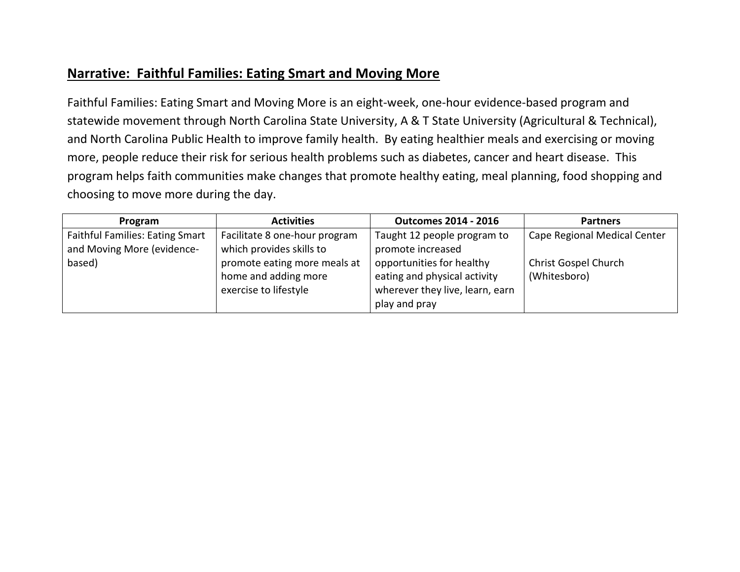#### **Narrative: Faithful Families: Eating Smart and Moving More**

Faithful Families: Eating Smart and Moving More is an eight-week, one-hour evidence-based program and statewide movement through North Carolina State University, A & T State University (Agricultural & Technical), and North Carolina Public Health to improve family health. By eating healthier meals and exercising or moving more, people reduce their risk for serious health problems such as diabetes, cancer and heart disease. This program helps faith communities make changes that promote healthy eating, meal planning, food shopping and choosing to move more during the day.

| Program                                | <b>Activities</b>             | <b>Outcomes 2014 - 2016</b>     | <b>Partners</b>              |
|----------------------------------------|-------------------------------|---------------------------------|------------------------------|
| <b>Faithful Families: Eating Smart</b> | Facilitate 8 one-hour program | Taught 12 people program to     | Cape Regional Medical Center |
| and Moving More (evidence-             | which provides skills to      | promote increased               |                              |
| based)                                 | promote eating more meals at  | opportunities for healthy       | Christ Gospel Church         |
|                                        | home and adding more          | eating and physical activity    | (Whitesboro)                 |
|                                        | exercise to lifestyle         | wherever they live, learn, earn |                              |
|                                        |                               | play and pray                   |                              |